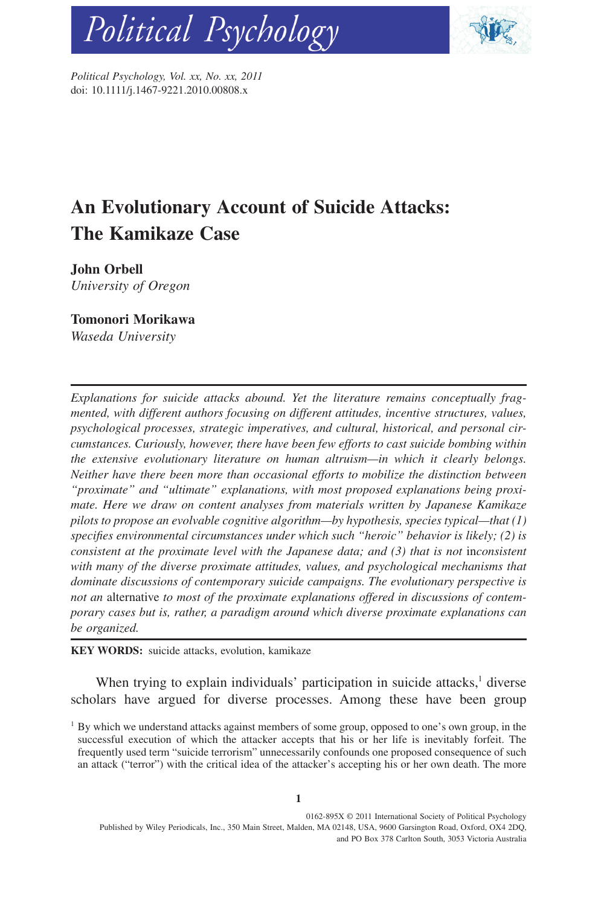Political Psychology



*Political Psychology, Vol. xx, No. xx, 2011* doi: 10.1111/j.1467-9221.2010.00808.x

# **An Evolutionary Account of Suicide Attacks: The Kamikaze Case**

**John Orbell** *University of Oregon*

**Tomonori Morikawa** *Waseda University*

*Explanations for suicide attacks abound. Yet the literature remains conceptually fragmented, with different authors focusing on different attitudes, incentive structures, values, psychological processes, strategic imperatives, and cultural, historical, and personal circumstances. Curiously, however, there have been few efforts to cast suicide bombing within the extensive evolutionary literature on human altruism—in which it clearly belongs. Neither have there been more than occasional efforts to mobilize the distinction between "proximate" and "ultimate" explanations, with most proposed explanations being proximate. Here we draw on content analyses from materials written by Japanese Kamikaze pilots to propose an evolvable cognitive algorithm—by hypothesis, species typical—that (1) specifies environmental circumstances under which such "heroic" behavior is likely; (2) is consistent at the proximate level with the Japanese data; and (3) that is not* in*consistent with many of the diverse proximate attitudes, values, and psychological mechanisms that dominate discussions of contemporary suicide campaigns. The evolutionary perspective is not an* alternative *to most of the proximate explanations offered in discussions of contemporary cases but is, rather, a paradigm around which diverse proximate explanations can be organized.*

**KEY WORDS:** suicide attacks, evolution, kamikaze

When trying to explain individuals' participation in suicide attacks, $<sup>1</sup>$  diverse</sup> scholars have argued for diverse processes. Among these have been group

<sup>&</sup>lt;sup>1</sup> By which we understand attacks against members of some group, opposed to one's own group, in the successful execution of which the attacker accepts that his or her life is inevitably forfeit. The frequently used term "suicide terrorism" unnecessarily confounds one proposed consequence of such an attack ("terror") with the critical idea of the attacker's accepting his or her own death. The more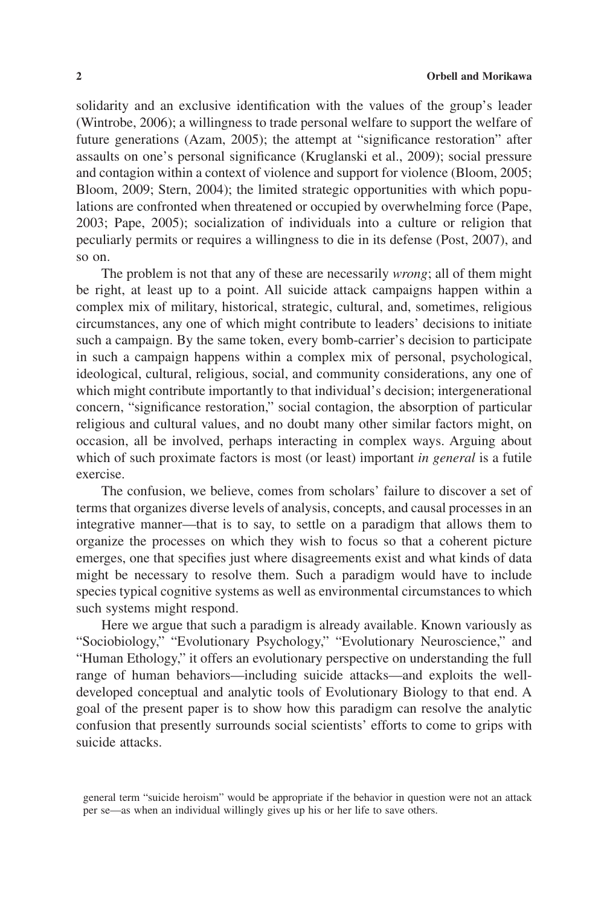solidarity and an exclusive identification with the values of the group's leader (Wintrobe, 2006); a willingness to trade personal welfare to support the welfare of future generations (Azam, 2005); the attempt at "significance restoration" after assaults on one's personal significance (Kruglanski et al., 2009); social pressure and contagion within a context of violence and support for violence (Bloom, 2005; Bloom, 2009; Stern, 2004); the limited strategic opportunities with which populations are confronted when threatened or occupied by overwhelming force (Pape, 2003; Pape, 2005); socialization of individuals into a culture or religion that peculiarly permits or requires a willingness to die in its defense (Post, 2007), and so on.

The problem is not that any of these are necessarily *wrong*; all of them might be right, at least up to a point. All suicide attack campaigns happen within a complex mix of military, historical, strategic, cultural, and, sometimes, religious circumstances, any one of which might contribute to leaders' decisions to initiate such a campaign. By the same token, every bomb-carrier's decision to participate in such a campaign happens within a complex mix of personal, psychological, ideological, cultural, religious, social, and community considerations, any one of which might contribute importantly to that individual's decision; intergenerational concern, "significance restoration," social contagion, the absorption of particular religious and cultural values, and no doubt many other similar factors might, on occasion, all be involved, perhaps interacting in complex ways. Arguing about which of such proximate factors is most (or least) important *in general* is a futile exercise.

The confusion, we believe, comes from scholars' failure to discover a set of terms that organizes diverse levels of analysis, concepts, and causal processes in an integrative manner—that is to say, to settle on a paradigm that allows them to organize the processes on which they wish to focus so that a coherent picture emerges, one that specifies just where disagreements exist and what kinds of data might be necessary to resolve them. Such a paradigm would have to include species typical cognitive systems as well as environmental circumstances to which such systems might respond.

Here we argue that such a paradigm is already available. Known variously as "Sociobiology," "Evolutionary Psychology," "Evolutionary Neuroscience," and "Human Ethology," it offers an evolutionary perspective on understanding the full range of human behaviors—including suicide attacks—and exploits the welldeveloped conceptual and analytic tools of Evolutionary Biology to that end. A goal of the present paper is to show how this paradigm can resolve the analytic confusion that presently surrounds social scientists' efforts to come to grips with suicide attacks.

general term "suicide heroism" would be appropriate if the behavior in question were not an attack per se—as when an individual willingly gives up his or her life to save others.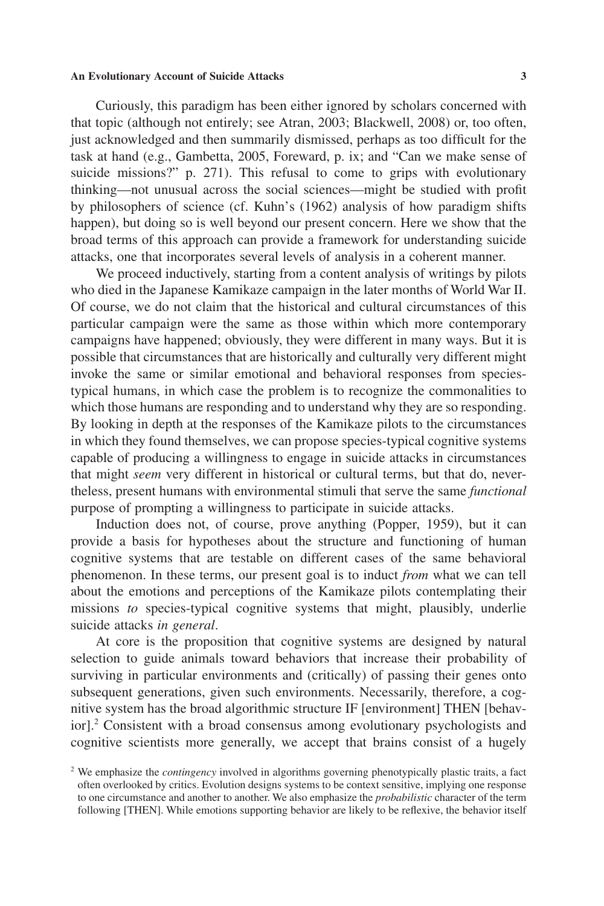Curiously, this paradigm has been either ignored by scholars concerned with that topic (although not entirely; see Atran, 2003; Blackwell, 2008) or, too often, just acknowledged and then summarily dismissed, perhaps as too difficult for the task at hand (e.g., Gambetta, 2005, Foreward, p. ix; and "Can we make sense of suicide missions?" p. 271). This refusal to come to grips with evolutionary thinking—not unusual across the social sciences—might be studied with profit by philosophers of science (cf. Kuhn's (1962) analysis of how paradigm shifts happen), but doing so is well beyond our present concern. Here we show that the broad terms of this approach can provide a framework for understanding suicide attacks, one that incorporates several levels of analysis in a coherent manner.

We proceed inductively, starting from a content analysis of writings by pilots who died in the Japanese Kamikaze campaign in the later months of World War II. Of course, we do not claim that the historical and cultural circumstances of this particular campaign were the same as those within which more contemporary campaigns have happened; obviously, they were different in many ways. But it is possible that circumstances that are historically and culturally very different might invoke the same or similar emotional and behavioral responses from speciestypical humans, in which case the problem is to recognize the commonalities to which those humans are responding and to understand why they are so responding. By looking in depth at the responses of the Kamikaze pilots to the circumstances in which they found themselves, we can propose species-typical cognitive systems capable of producing a willingness to engage in suicide attacks in circumstances that might *seem* very different in historical or cultural terms, but that do, nevertheless, present humans with environmental stimuli that serve the same *functional* purpose of prompting a willingness to participate in suicide attacks.

Induction does not, of course, prove anything (Popper, 1959), but it can provide a basis for hypotheses about the structure and functioning of human cognitive systems that are testable on different cases of the same behavioral phenomenon. In these terms, our present goal is to induct *from* what we can tell about the emotions and perceptions of the Kamikaze pilots contemplating their missions *to* species-typical cognitive systems that might, plausibly, underlie suicide attacks *in general*.

At core is the proposition that cognitive systems are designed by natural selection to guide animals toward behaviors that increase their probability of surviving in particular environments and (critically) of passing their genes onto subsequent generations, given such environments. Necessarily, therefore, a cognitive system has the broad algorithmic structure IF [environment] THEN [behavior].2 Consistent with a broad consensus among evolutionary psychologists and cognitive scientists more generally, we accept that brains consist of a hugely

<sup>2</sup> We emphasize the *contingency* involved in algorithms governing phenotypically plastic traits, a fact often overlooked by critics. Evolution designs systems to be context sensitive, implying one response to one circumstance and another to another. We also emphasize the *probabilistic* character of the term following [THEN]. While emotions supporting behavior are likely to be reflexive, the behavior itself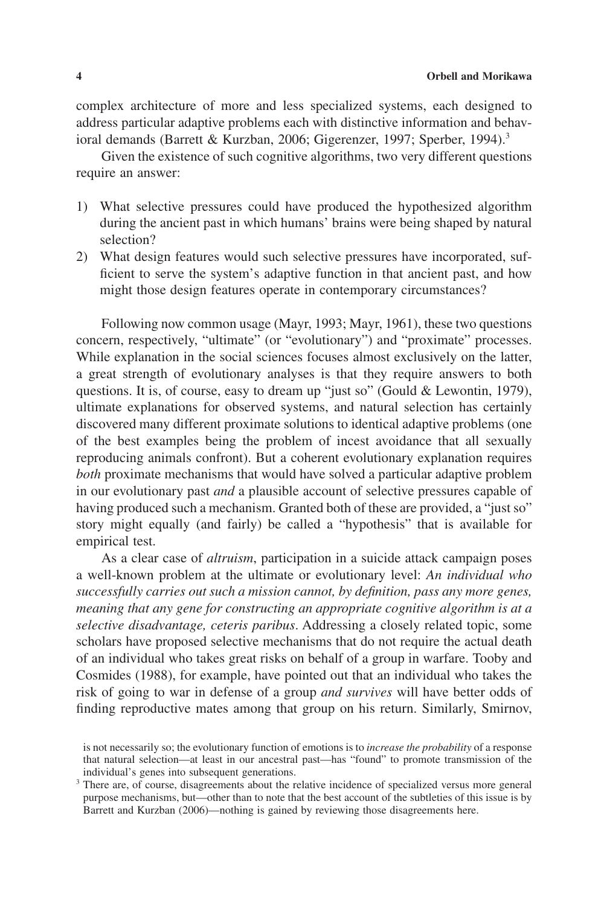complex architecture of more and less specialized systems, each designed to address particular adaptive problems each with distinctive information and behavioral demands (Barrett & Kurzban, 2006; Gigerenzer, 1997; Sperber, 1994).<sup>3</sup>

Given the existence of such cognitive algorithms, two very different questions require an answer:

- 1) What selective pressures could have produced the hypothesized algorithm during the ancient past in which humans' brains were being shaped by natural selection?
- 2) What design features would such selective pressures have incorporated, sufficient to serve the system's adaptive function in that ancient past, and how might those design features operate in contemporary circumstances?

Following now common usage (Mayr, 1993; Mayr, 1961), these two questions concern, respectively, "ultimate" (or "evolutionary") and "proximate" processes. While explanation in the social sciences focuses almost exclusively on the latter, a great strength of evolutionary analyses is that they require answers to both questions. It is, of course, easy to dream up "just so" (Gould  $&$  Lewontin, 1979), ultimate explanations for observed systems, and natural selection has certainly discovered many different proximate solutions to identical adaptive problems (one of the best examples being the problem of incest avoidance that all sexually reproducing animals confront). But a coherent evolutionary explanation requires *both* proximate mechanisms that would have solved a particular adaptive problem in our evolutionary past *and* a plausible account of selective pressures capable of having produced such a mechanism. Granted both of these are provided, a "just so" story might equally (and fairly) be called a "hypothesis" that is available for empirical test.

As a clear case of *altruism*, participation in a suicide attack campaign poses a well-known problem at the ultimate or evolutionary level: *An individual who successfully carries out such a mission cannot, by definition, pass any more genes, meaning that any gene for constructing an appropriate cognitive algorithm is at a selective disadvantage, ceteris paribus*. Addressing a closely related topic, some scholars have proposed selective mechanisms that do not require the actual death of an individual who takes great risks on behalf of a group in warfare. Tooby and Cosmides (1988), for example, have pointed out that an individual who takes the risk of going to war in defense of a group *and survives* will have better odds of finding reproductive mates among that group on his return. Similarly, Smirnov,

is not necessarily so; the evolutionary function of emotions is to *increase the probability* of a response that natural selection—at least in our ancestral past—has "found" to promote transmission of the individual's genes into subsequent generations.

<sup>&</sup>lt;sup>3</sup> There are, of course, disagreements about the relative incidence of specialized versus more general purpose mechanisms, but—other than to note that the best account of the subtleties of this issue is by Barrett and Kurzban (2006)—nothing is gained by reviewing those disagreements here.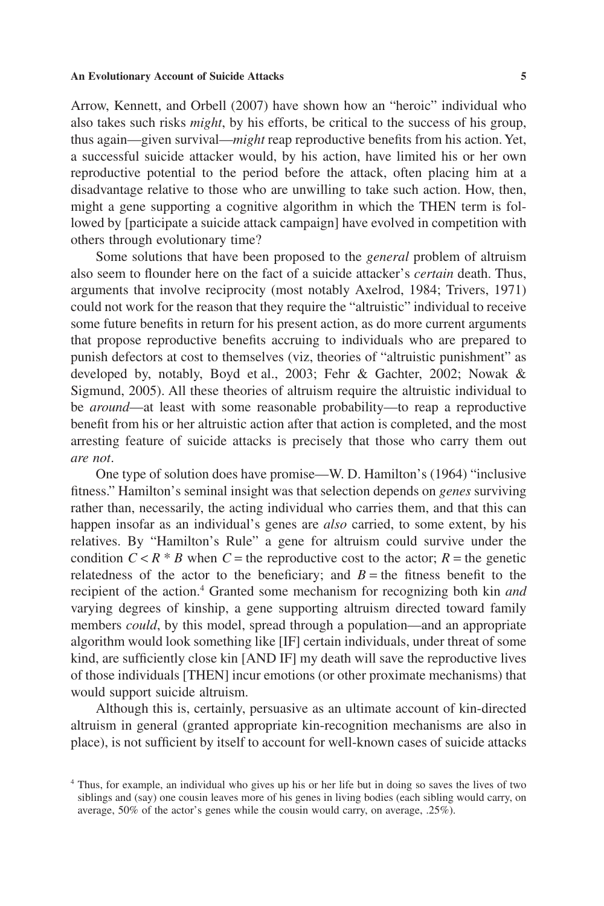Arrow, Kennett, and Orbell (2007) have shown how an "heroic" individual who also takes such risks *might*, by his efforts, be critical to the success of his group, thus again—given survival—*might* reap reproductive benefits from his action. Yet, a successful suicide attacker would, by his action, have limited his or her own reproductive potential to the period before the attack, often placing him at a disadvantage relative to those who are unwilling to take such action. How, then, might a gene supporting a cognitive algorithm in which the THEN term is followed by [participate a suicide attack campaign] have evolved in competition with others through evolutionary time?

Some solutions that have been proposed to the *general* problem of altruism also seem to flounder here on the fact of a suicide attacker's *certain* death. Thus, arguments that involve reciprocity (most notably Axelrod, 1984; Trivers, 1971) could not work for the reason that they require the "altruistic" individual to receive some future benefits in return for his present action, as do more current arguments that propose reproductive benefits accruing to individuals who are prepared to punish defectors at cost to themselves (viz, theories of "altruistic punishment" as developed by, notably, Boyd et al., 2003; Fehr & Gachter, 2002; Nowak & Sigmund, 2005). All these theories of altruism require the altruistic individual to be *around*—at least with some reasonable probability—to reap a reproductive benefit from his or her altruistic action after that action is completed, and the most arresting feature of suicide attacks is precisely that those who carry them out *are not*.

One type of solution does have promise—W. D. Hamilton's (1964) "inclusive fitness." Hamilton's seminal insight was that selection depends on *genes* surviving rather than, necessarily, the acting individual who carries them, and that this can happen insofar as an individual's genes are *also* carried, to some extent, by his relatives. By "Hamilton's Rule" a gene for altruism could survive under the condition  $C < R * B$  when  $C =$  the reproductive cost to the actor;  $R =$  the genetic relatedness of the actor to the beneficiary; and  $B =$  the fitness benefit to the recipient of the action.4 Granted some mechanism for recognizing both kin *and* varying degrees of kinship, a gene supporting altruism directed toward family members *could*, by this model, spread through a population—and an appropriate algorithm would look something like [IF] certain individuals, under threat of some kind, are sufficiently close kin [AND IF] my death will save the reproductive lives of those individuals [THEN] incur emotions (or other proximate mechanisms) that would support suicide altruism.

Although this is, certainly, persuasive as an ultimate account of kin-directed altruism in general (granted appropriate kin-recognition mechanisms are also in place), is not sufficient by itself to account for well-known cases of suicide attacks

<sup>4</sup> Thus, for example, an individual who gives up his or her life but in doing so saves the lives of two siblings and (say) one cousin leaves more of his genes in living bodies (each sibling would carry, on average, 50% of the actor's genes while the cousin would carry, on average, .25%).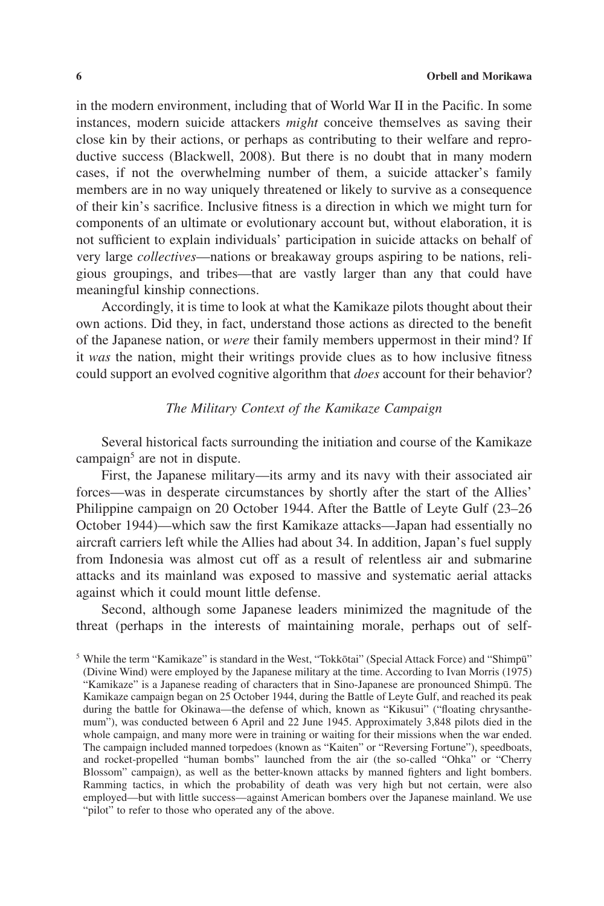in the modern environment, including that of World War II in the Pacific. In some instances, modern suicide attackers *might* conceive themselves as saving their close kin by their actions, or perhaps as contributing to their welfare and reproductive success (Blackwell, 2008). But there is no doubt that in many modern cases, if not the overwhelming number of them, a suicide attacker's family members are in no way uniquely threatened or likely to survive as a consequence of their kin's sacrifice. Inclusive fitness is a direction in which we might turn for components of an ultimate or evolutionary account but, without elaboration, it is not sufficient to explain individuals' participation in suicide attacks on behalf of very large *collectives*—nations or breakaway groups aspiring to be nations, religious groupings, and tribes—that are vastly larger than any that could have meaningful kinship connections.

Accordingly, it is time to look at what the Kamikaze pilots thought about their own actions. Did they, in fact, understand those actions as directed to the benefit of the Japanese nation, or *were* their family members uppermost in their mind? If it *was* the nation, might their writings provide clues as to how inclusive fitness could support an evolved cognitive algorithm that *does* account for their behavior?

# *The Military Context of the Kamikaze Campaign*

Several historical facts surrounding the initiation and course of the Kamikaze campaign<sup>5</sup> are not in dispute.

First, the Japanese military—its army and its navy with their associated air forces—was in desperate circumstances by shortly after the start of the Allies' Philippine campaign on 20 October 1944. After the Battle of Leyte Gulf (23–26 October 1944)—which saw the first Kamikaze attacks—Japan had essentially no aircraft carriers left while the Allies had about 34. In addition, Japan's fuel supply from Indonesia was almost cut off as a result of relentless air and submarine attacks and its mainland was exposed to massive and systematic aerial attacks against which it could mount little defense.

Second, although some Japanese leaders minimized the magnitude of the threat (perhaps in the interests of maintaining morale, perhaps out of self-

 $5$  While the term "Kamikaze" is standard in the West, "Tokkōtai" (Special Attack Force) and "Shimpū" (Divine Wind) were employed by the Japanese military at the time. According to Ivan Morris (1975) "Kamikaze" is a Japanese reading of characters that in Sino-Japanese are pronounced Shimpū. The Kamikaze campaign began on 25 October 1944, during the Battle of Leyte Gulf, and reached its peak during the battle for Okinawa—the defense of which, known as "Kikusui" ("floating chrysanthemum"), was conducted between 6 April and 22 June 1945. Approximately 3,848 pilots died in the whole campaign, and many more were in training or waiting for their missions when the war ended. The campaign included manned torpedoes (known as "Kaiten" or "Reversing Fortune"), speedboats, and rocket-propelled "human bombs" launched from the air (the so-called "Ohka" or "Cherry Blossom" campaign), as well as the better-known attacks by manned fighters and light bombers. Ramming tactics, in which the probability of death was very high but not certain, were also employed—but with little success—against American bombers over the Japanese mainland. We use "pilot" to refer to those who operated any of the above.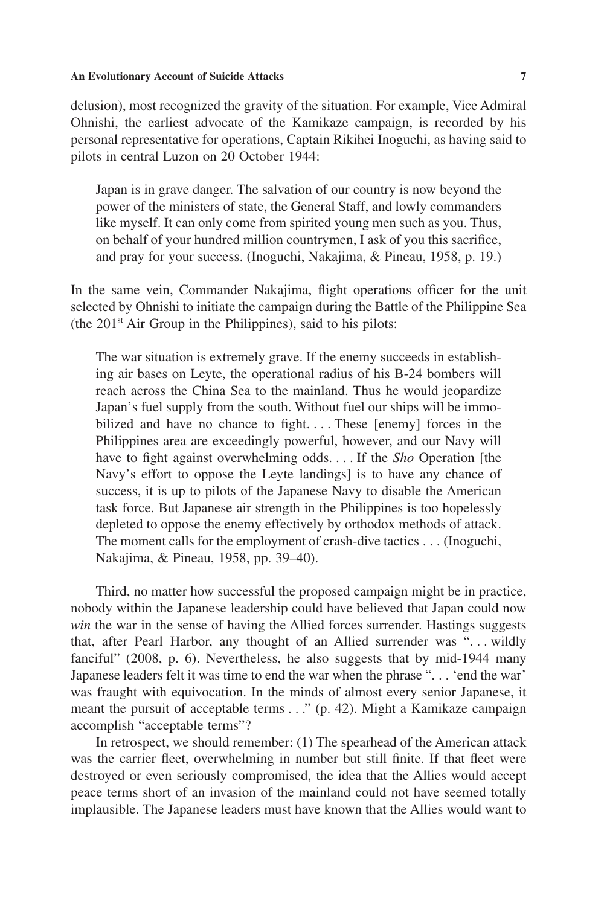delusion), most recognized the gravity of the situation. For example, Vice Admiral Ohnishi, the earliest advocate of the Kamikaze campaign, is recorded by his personal representative for operations, Captain Rikihei Inoguchi, as having said to pilots in central Luzon on 20 October 1944:

Japan is in grave danger. The salvation of our country is now beyond the power of the ministers of state, the General Staff, and lowly commanders like myself. It can only come from spirited young men such as you. Thus, on behalf of your hundred million countrymen, I ask of you this sacrifice, and pray for your success. (Inoguchi, Nakajima, & Pineau, 1958, p. 19.)

In the same vein, Commander Nakajima, flight operations officer for the unit selected by Ohnishi to initiate the campaign during the Battle of the Philippine Sea (the  $201<sup>st</sup>$  Air Group in the Philippines), said to his pilots:

The war situation is extremely grave. If the enemy succeeds in establishing air bases on Leyte, the operational radius of his B-24 bombers will reach across the China Sea to the mainland. Thus he would jeopardize Japan's fuel supply from the south. Without fuel our ships will be immobilized and have no chance to fight.... These [enemy] forces in the Philippines area are exceedingly powerful, however, and our Navy will have to fight against overwhelming odds. . . . If the *Sho* Operation [the Navy's effort to oppose the Leyte landings] is to have any chance of success, it is up to pilots of the Japanese Navy to disable the American task force. But Japanese air strength in the Philippines is too hopelessly depleted to oppose the enemy effectively by orthodox methods of attack. The moment calls for the employment of crash-dive tactics... (Inoguchi, Nakajima, & Pineau, 1958, pp. 39–40).

Third, no matter how successful the proposed campaign might be in practice, nobody within the Japanese leadership could have believed that Japan could now *win* the war in the sense of having the Allied forces surrender. Hastings suggests that, after Pearl Harbor, any thought of an Allied surrender was ". . . wildly fanciful" (2008, p. 6). Nevertheless, he also suggests that by mid-1944 many Japanese leaders felt it was time to end the war when the phrase ". . . 'end the war' was fraught with equivocation. In the minds of almost every senior Japanese, it meant the pursuit of acceptable terms . . ." (p. 42). Might a Kamikaze campaign accomplish "acceptable terms"?

In retrospect, we should remember: (1) The spearhead of the American attack was the carrier fleet, overwhelming in number but still finite. If that fleet were destroyed or even seriously compromised, the idea that the Allies would accept peace terms short of an invasion of the mainland could not have seemed totally implausible. The Japanese leaders must have known that the Allies would want to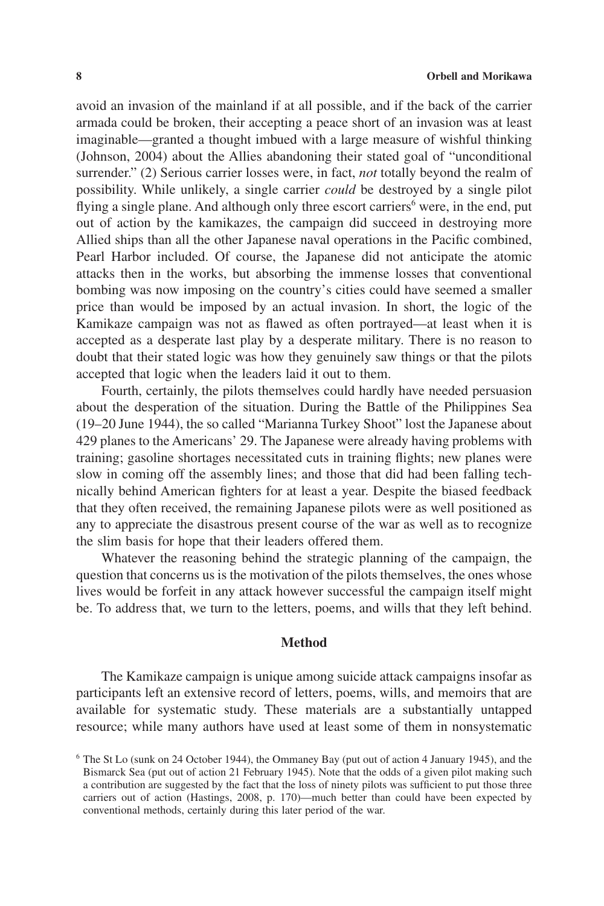avoid an invasion of the mainland if at all possible, and if the back of the carrier armada could be broken, their accepting a peace short of an invasion was at least imaginable—granted a thought imbued with a large measure of wishful thinking (Johnson, 2004) about the Allies abandoning their stated goal of "unconditional surrender." (2) Serious carrier losses were, in fact, *not* totally beyond the realm of possibility. While unlikely, a single carrier *could* be destroyed by a single pilot flying a single plane. And although only three escort carriers<sup>6</sup> were, in the end, put out of action by the kamikazes, the campaign did succeed in destroying more Allied ships than all the other Japanese naval operations in the Pacific combined, Pearl Harbor included. Of course, the Japanese did not anticipate the atomic attacks then in the works, but absorbing the immense losses that conventional bombing was now imposing on the country's cities could have seemed a smaller price than would be imposed by an actual invasion. In short, the logic of the Kamikaze campaign was not as flawed as often portrayed—at least when it is accepted as a desperate last play by a desperate military. There is no reason to doubt that their stated logic was how they genuinely saw things or that the pilots accepted that logic when the leaders laid it out to them.

Fourth, certainly, the pilots themselves could hardly have needed persuasion about the desperation of the situation. During the Battle of the Philippines Sea (19–20 June 1944), the so called "Marianna Turkey Shoot" lost the Japanese about 429 planes to the Americans' 29. The Japanese were already having problems with training; gasoline shortages necessitated cuts in training flights; new planes were slow in coming off the assembly lines; and those that did had been falling technically behind American fighters for at least a year. Despite the biased feedback that they often received, the remaining Japanese pilots were as well positioned as any to appreciate the disastrous present course of the war as well as to recognize the slim basis for hope that their leaders offered them.

Whatever the reasoning behind the strategic planning of the campaign, the question that concerns us is the motivation of the pilots themselves, the ones whose lives would be forfeit in any attack however successful the campaign itself might be. To address that, we turn to the letters, poems, and wills that they left behind.

# **Method**

The Kamikaze campaign is unique among suicide attack campaigns insofar as participants left an extensive record of letters, poems, wills, and memoirs that are available for systematic study. These materials are a substantially untapped resource; while many authors have used at least some of them in nonsystematic

<sup>6</sup> The St Lo (sunk on 24 October 1944), the Ommaney Bay (put out of action 4 January 1945), and the Bismarck Sea (put out of action 21 February 1945). Note that the odds of a given pilot making such a contribution are suggested by the fact that the loss of ninety pilots was sufficient to put those three carriers out of action (Hastings, 2008, p. 170)—much better than could have been expected by conventional methods, certainly during this later period of the war.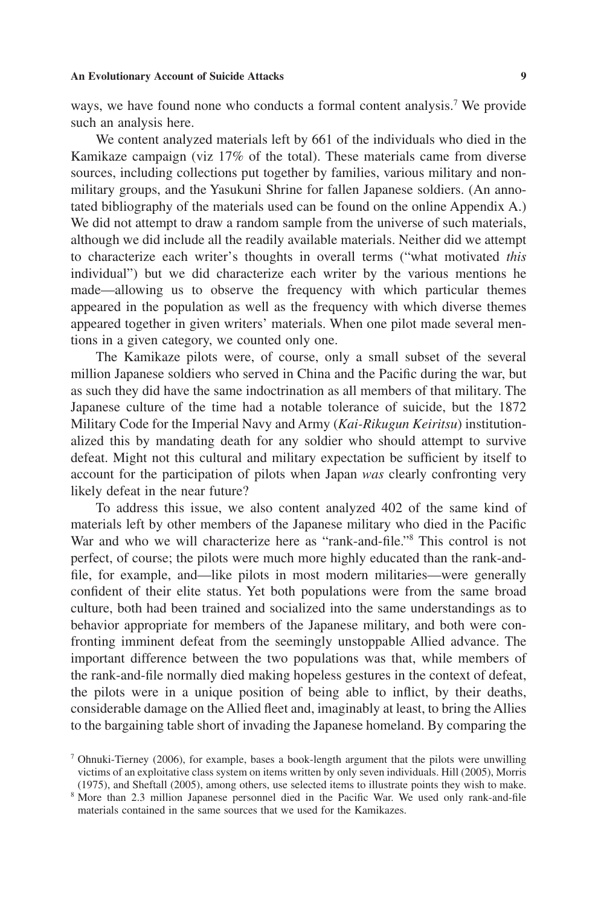ways, we have found none who conducts a formal content analysis.<sup>7</sup> We provide such an analysis here.

We content analyzed materials left by 661 of the individuals who died in the Kamikaze campaign (viz 17% of the total). These materials came from diverse sources, including collections put together by families, various military and nonmilitary groups, and the Yasukuni Shrine for fallen Japanese soldiers. (An annotated bibliography of the materials used can be found on the online Appendix A.) We did not attempt to draw a random sample from the universe of such materials, although we did include all the readily available materials. Neither did we attempt to characterize each writer's thoughts in overall terms ("what motivated *this* individual") but we did characterize each writer by the various mentions he made—allowing us to observe the frequency with which particular themes appeared in the population as well as the frequency with which diverse themes appeared together in given writers' materials. When one pilot made several mentions in a given category, we counted only one.

The Kamikaze pilots were, of course, only a small subset of the several million Japanese soldiers who served in China and the Pacific during the war, but as such they did have the same indoctrination as all members of that military. The Japanese culture of the time had a notable tolerance of suicide, but the 1872 Military Code for the Imperial Navy and Army (*Kai-Rikugun Keiritsu*) institutionalized this by mandating death for any soldier who should attempt to survive defeat. Might not this cultural and military expectation be sufficient by itself to account for the participation of pilots when Japan *was* clearly confronting very likely defeat in the near future?

To address this issue, we also content analyzed 402 of the same kind of materials left by other members of the Japanese military who died in the Pacific War and who we will characterize here as "rank-and-file."8 This control is not perfect, of course; the pilots were much more highly educated than the rank-andfile, for example, and—like pilots in most modern militaries—were generally confident of their elite status. Yet both populations were from the same broad culture, both had been trained and socialized into the same understandings as to behavior appropriate for members of the Japanese military, and both were confronting imminent defeat from the seemingly unstoppable Allied advance. The important difference between the two populations was that, while members of the rank-and-file normally died making hopeless gestures in the context of defeat, the pilots were in a unique position of being able to inflict, by their deaths, considerable damage on the Allied fleet and, imaginably at least, to bring the Allies to the bargaining table short of invading the Japanese homeland. By comparing the

 $\frac{7}{1}$  Ohnuki-Tierney (2006), for example, bases a book-length argument that the pilots were unwilling victims of an exploitative class system on items written by only seven individuals. Hill (2005), Morris (1975), and Sheftall (2005), among others, use selected items to illustrate points they wish to make.

<sup>8</sup> More than 2.3 million Japanese personnel died in the Pacific War. We used only rank-and-file materials contained in the same sources that we used for the Kamikazes.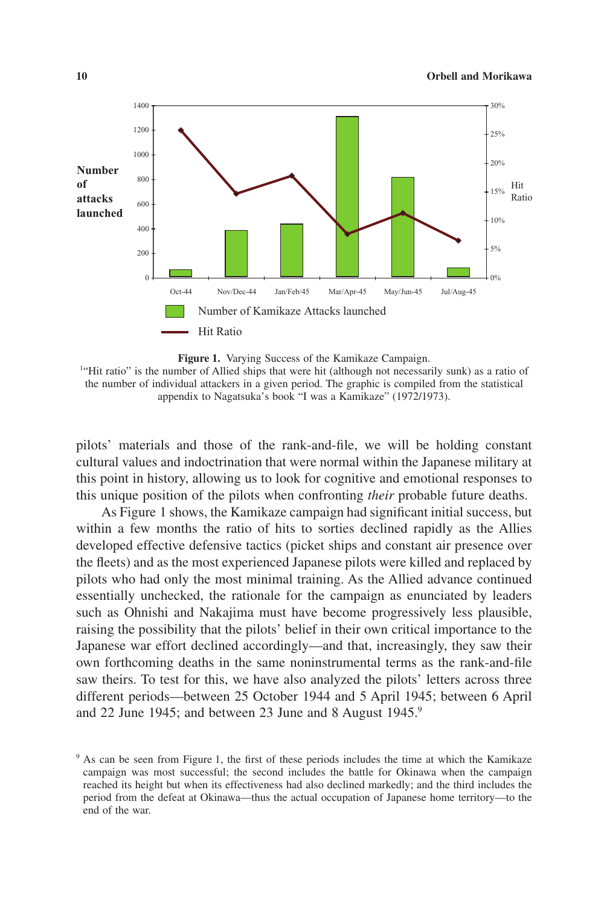

**Figure 1.** Varying Success of the Kamikaze Campaign.

<sup>14</sup>Hit ratio" is the number of Allied ships that were hit (although not necessarily sunk) as a ratio of the number of individual attackers in a given period. The graphic is compiled from the statistical appendix to Nagatsuka's book "I was a Kamikaze" (1972/1973).

pilots' materials and those of the rank-and-file, we will be holding constant cultural values and indoctrination that were normal within the Japanese military at this point in history, allowing us to look for cognitive and emotional responses to this unique position of the pilots when confronting *their* probable future deaths.

As Figure 1 shows, the Kamikaze campaign had significant initial success, but within a few months the ratio of hits to sorties declined rapidly as the Allies developed effective defensive tactics (picket ships and constant air presence over the fleets) and as the most experienced Japanese pilots were killed and replaced by pilots who had only the most minimal training. As the Allied advance continued essentially unchecked, the rationale for the campaign as enunciated by leaders such as Ohnishi and Nakajima must have become progressively less plausible, raising the possibility that the pilots' belief in their own critical importance to the Japanese war effort declined accordingly—and that, increasingly, they saw their own forthcoming deaths in the same noninstrumental terms as the rank-and-file saw theirs. To test for this, we have also analyzed the pilots' letters across three different periods—between 25 October 1944 and 5 April 1945; between 6 April and 22 June 1945; and between 23 June and 8 August 1945.<sup>9</sup>

<sup>&</sup>lt;sup>9</sup> As can be seen from Figure 1, the first of these periods includes the time at which the Kamikaze campaign was most successful; the second includes the battle for Okinawa when the campaign reached its height but when its effectiveness had also declined markedly; and the third includes the period from the defeat at Okinawa—thus the actual occupation of Japanese home territory—to the end of the war.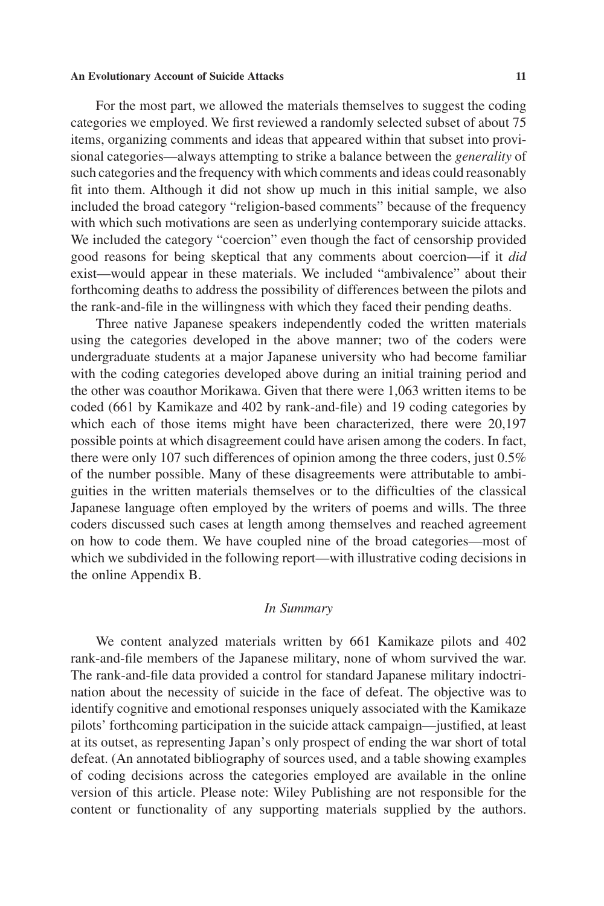For the most part, we allowed the materials themselves to suggest the coding categories we employed. We first reviewed a randomly selected subset of about 75 items, organizing comments and ideas that appeared within that subset into provisional categories—always attempting to strike a balance between the *generality* of such categories and the frequency with which comments and ideas could reasonably fit into them. Although it did not show up much in this initial sample, we also included the broad category "religion-based comments" because of the frequency with which such motivations are seen as underlying contemporary suicide attacks. We included the category "coercion" even though the fact of censorship provided good reasons for being skeptical that any comments about coercion—if it *did* exist—would appear in these materials. We included "ambivalence" about their forthcoming deaths to address the possibility of differences between the pilots and the rank-and-file in the willingness with which they faced their pending deaths.

Three native Japanese speakers independently coded the written materials using the categories developed in the above manner; two of the coders were undergraduate students at a major Japanese university who had become familiar with the coding categories developed above during an initial training period and the other was coauthor Morikawa. Given that there were 1,063 written items to be coded (661 by Kamikaze and 402 by rank-and-file) and 19 coding categories by which each of those items might have been characterized, there were 20,197 possible points at which disagreement could have arisen among the coders. In fact, there were only 107 such differences of opinion among the three coders, just 0.5% of the number possible. Many of these disagreements were attributable to ambiguities in the written materials themselves or to the difficulties of the classical Japanese language often employed by the writers of poems and wills. The three coders discussed such cases at length among themselves and reached agreement on how to code them. We have coupled nine of the broad categories—most of which we subdivided in the following report—with illustrative coding decisions in the online Appendix B.

## *In Summary*

We content analyzed materials written by 661 Kamikaze pilots and 402 rank-and-file members of the Japanese military, none of whom survived the war. The rank-and-file data provided a control for standard Japanese military indoctrination about the necessity of suicide in the face of defeat. The objective was to identify cognitive and emotional responses uniquely associated with the Kamikaze pilots' forthcoming participation in the suicide attack campaign—justified, at least at its outset, as representing Japan's only prospect of ending the war short of total defeat. (An annotated bibliography of sources used, and a table showing examples of coding decisions across the categories employed are available in the online version of this article. Please note: Wiley Publishing are not responsible for the content or functionality of any supporting materials supplied by the authors.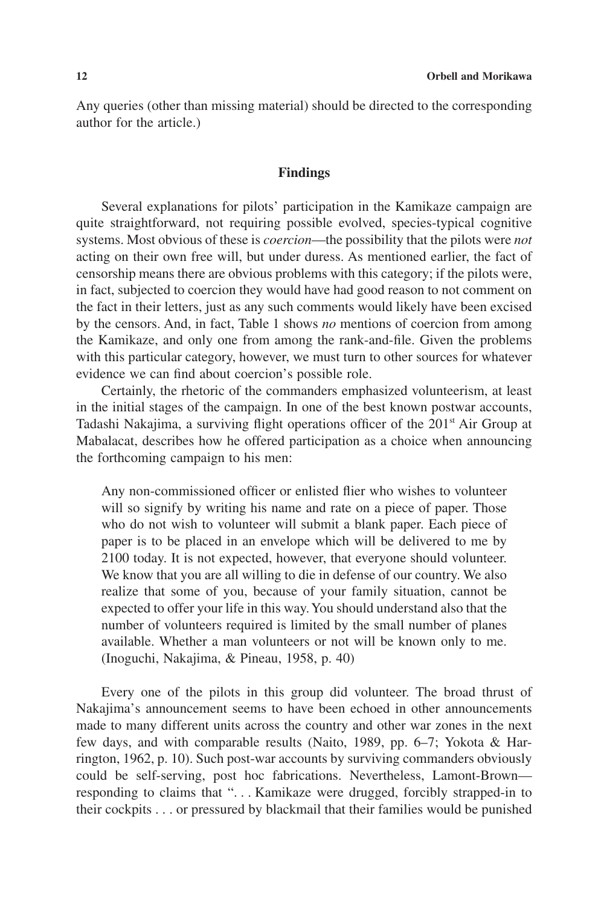Any queries (other than missing material) should be directed to the corresponding author for the article.)

## **Findings**

Several explanations for pilots' participation in the Kamikaze campaign are quite straightforward, not requiring possible evolved, species-typical cognitive systems. Most obvious of these is *coercion*—the possibility that the pilots were *not* acting on their own free will, but under duress. As mentioned earlier, the fact of censorship means there are obvious problems with this category; if the pilots were, in fact, subjected to coercion they would have had good reason to not comment on the fact in their letters, just as any such comments would likely have been excised by the censors. And, in fact, Table 1 shows *no* mentions of coercion from among the Kamikaze, and only one from among the rank-and-file. Given the problems with this particular category, however, we must turn to other sources for whatever evidence we can find about coercion's possible role.

Certainly, the rhetoric of the commanders emphasized volunteerism, at least in the initial stages of the campaign. In one of the best known postwar accounts, Tadashi Nakajima, a surviving flight operations officer of the 201<sup>st</sup> Air Group at Mabalacat, describes how he offered participation as a choice when announcing the forthcoming campaign to his men:

Any non-commissioned officer or enlisted flier who wishes to volunteer will so signify by writing his name and rate on a piece of paper. Those who do not wish to volunteer will submit a blank paper. Each piece of paper is to be placed in an envelope which will be delivered to me by 2100 today. It is not expected, however, that everyone should volunteer. We know that you are all willing to die in defense of our country. We also realize that some of you, because of your family situation, cannot be expected to offer your life in this way.You should understand also that the number of volunteers required is limited by the small number of planes available. Whether a man volunteers or not will be known only to me. (Inoguchi, Nakajima, & Pineau, 1958, p. 40)

Every one of the pilots in this group did volunteer. The broad thrust of Nakajima's announcement seems to have been echoed in other announcements made to many different units across the country and other war zones in the next few days, and with comparable results (Naito, 1989, pp. 6–7; Yokota & Harrington, 1962, p. 10). Such post-war accounts by surviving commanders obviously could be self-serving, post hoc fabrications. Nevertheless, Lamont-Brown responding to claims that ". . . Kamikaze were drugged, forcibly strapped-in to their cockpits . . . or pressured by blackmail that their families would be punished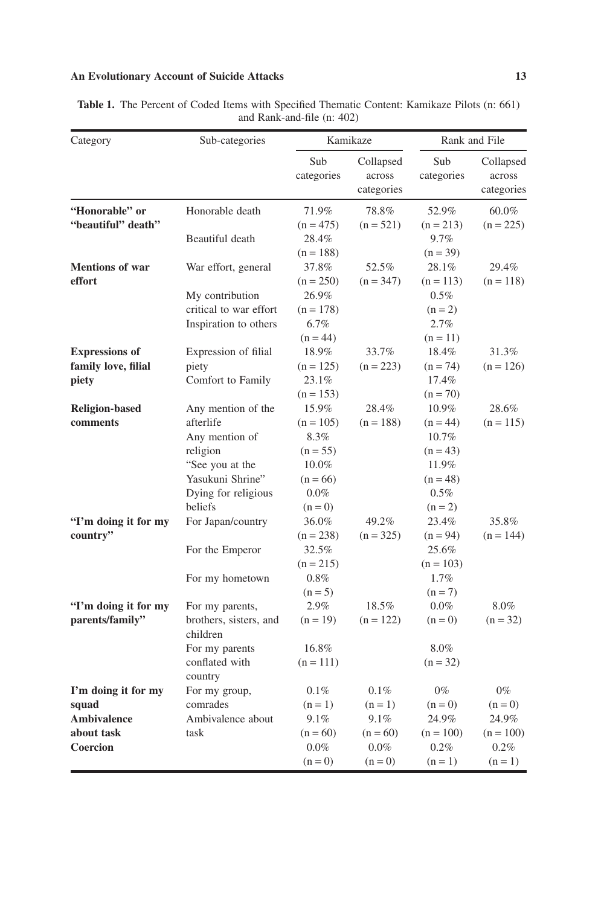| Category                                                              | Sub-categories                                                                            | Kamikaze                                                            |                                                               | Rank and File                                                   |                                                               |
|-----------------------------------------------------------------------|-------------------------------------------------------------------------------------------|---------------------------------------------------------------------|---------------------------------------------------------------|-----------------------------------------------------------------|---------------------------------------------------------------|
|                                                                       |                                                                                           | Sub<br>categories                                                   | Collapsed<br>across<br>categories                             | Sub<br>categories                                               | Collapsed<br>across<br>categories                             |
| "Honorable" or<br>"beautiful" death"                                  | Honorable death<br>Beautiful death                                                        | 71.9%<br>$(n = 475)$<br>28.4%                                       | 78.8%<br>$(n = 521)$                                          | 52.9%<br>$(n = 213)$<br>9.7%                                    | 60.0%<br>$(n = 225)$                                          |
| <b>Mentions of war</b><br>effort                                      | War effort, general<br>My contribution<br>critical to war effort<br>Inspiration to others | $(n = 188)$<br>37.8%<br>$(n = 250)$<br>26.9%<br>$(n = 178)$<br>6.7% | 52.5%<br>$(n = 347)$                                          | $(n = 39)$<br>28.1%<br>$(n = 113)$<br>0.5%<br>$(n = 2)$<br>2.7% | 29.4%<br>$(n = 118)$                                          |
| <b>Expressions of</b><br>family love, filial<br>piety                 | Expression of filial<br>piety<br>Comfort to Family                                        | $(n = 44)$<br>18.9%<br>$(n = 125)$<br>23.1%                         | 33.7%<br>$(n = 223)$                                          | $(n = 11)$<br>18.4%<br>$(n = 74)$<br>17.4%                      | 31.3%<br>$(n = 126)$                                          |
| <b>Religion-based</b><br>comments                                     | Any mention of the<br>afterlife<br>Any mention of<br>religion                             | $(n = 153)$<br>15.9%<br>$(n = 105)$<br>8.3%<br>$(n = 55)$           | 28.4%<br>$(n = 188)$                                          | $(n = 70)$<br>10.9%<br>$(n = 44)$<br>10.7%<br>$(n = 43)$        | 28.6%<br>$(n = 115)$                                          |
|                                                                       | "See you at the<br>Yasukuni Shrine"<br>Dying for religious<br>beliefs                     | 10.0%<br>$(n = 66)$<br>$0.0\%$<br>$(n = 0)$                         |                                                               | 11.9%<br>$(n = 48)$<br>$0.5\%$<br>$(n = 2)$                     |                                                               |
| "I'm doing it for my<br>country"                                      | For Japan/country<br>For the Emperor                                                      | 36.0%<br>$(n = 238)$<br>32.5%<br>$(n = 215)$                        | 49.2%<br>$(n = 325)$                                          | 23.4%<br>$(n = 94)$<br>25.6%<br>$(n = 103)$                     | 35.8%<br>$(n = 144)$                                          |
| "I'm doing it for my                                                  | For my hometown<br>For my parents,                                                        | 0.8%<br>$(n = 5)$<br>2.9%                                           | 18.5%                                                         | 1.7%<br>$(n = 7)$<br>$0.0\%$                                    | $8.0\%$                                                       |
| parents/family"                                                       | brothers, sisters, and<br>children<br>For my parents<br>conflated with<br>country         | $(n = 19)$<br>16.8%<br>$(n = 111)$                                  | $(n = 122)$                                                   | $(n = 0)$<br>8.0%<br>$(n = 32)$                                 | $(n = 32)$                                                    |
| I'm doing it for my<br>squad<br>Ambivalence<br>about task<br>Coercion | For my group,<br>comrades<br>Ambivalence about<br>task                                    | 0.1%<br>$(n = 1)$<br>9.1%<br>$(n = 60)$<br>$0.0\%$<br>$(n = 0)$     | 0.1%<br>$(n=1)$<br>9.1%<br>$(n = 60)$<br>$0.0\%$<br>$(n = 0)$ | $0\%$<br>$(n = 0)$<br>24.9%<br>$(n = 100)$<br>0.2%<br>$(n = 1)$ | $0\%$<br>$(n = 0)$<br>24.9%<br>$(n = 100)$<br>0.2%<br>$(n=1)$ |

Table 1. The Percent of Coded Items with Specified Thematic Content: Kamikaze Pilots (n: 661) and Rank-and-file (n: 402)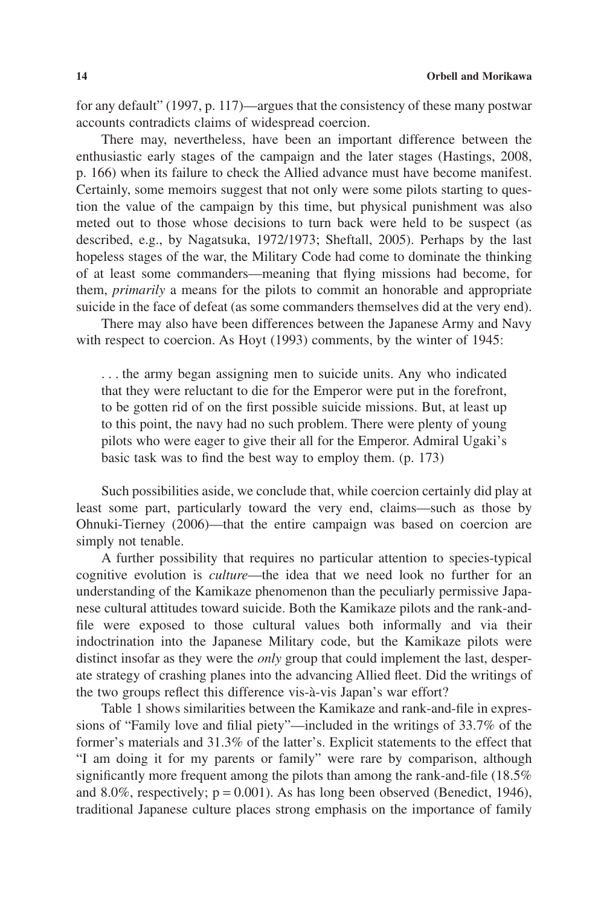for any default" (1997, p. 117)—argues that the consistency of these many postwar accounts contradicts claims of widespread coercion.

There may, nevertheless, have been an important difference between the enthusiastic early stages of the campaign and the later stages (Hastings, 2008, p. 166) when its failure to check the Allied advance must have become manifest. Certainly, some memoirs suggest that not only were some pilots starting to question the value of the campaign by this time, but physical punishment was also meted out to those whose decisions to turn back were held to be suspect (as described, e.g., by Nagatsuka, 1972/1973; Sheftall, 2005). Perhaps by the last hopeless stages of the war, the Military Code had come to dominate the thinking of at least some commanders—meaning that flying missions had become, for them, *primarily* a means for the pilots to commit an honorable and appropriate suicide in the face of defeat (as some commanders themselves did at the very end).

There may also have been differences between the Japanese Army and Navy with respect to coercion. As Hoyt (1993) comments, by the winter of 1945:

. . . the army began assigning men to suicide units. Any who indicated that they were reluctant to die for the Emperor were put in the forefront, to be gotten rid of on the first possible suicide missions. But, at least up to this point, the navy had no such problem. There were plenty of young pilots who were eager to give their all for the Emperor. Admiral Ugaki's basic task was to find the best way to employ them. (p. 173)

Such possibilities aside, we conclude that, while coercion certainly did play at least some part, particularly toward the very end, claims—such as those by Ohnuki-Tierney (2006)—that the entire campaign was based on coercion are simply not tenable.

A further possibility that requires no particular attention to species-typical cognitive evolution is *culture*—the idea that we need look no further for an understanding of the Kamikaze phenomenon than the peculiarly permissive Japanese cultural attitudes toward suicide. Both the Kamikaze pilots and the rank-andfile were exposed to those cultural values both informally and via their indoctrination into the Japanese Military code, but the Kamikaze pilots were distinct insofar as they were the *only* group that could implement the last, desperate strategy of crashing planes into the advancing Allied fleet. Did the writings of the two groups reflect this difference vis-à-vis Japan's war effort?

Table 1 shows similarities between the Kamikaze and rank-and-file in expressions of "Family love and filial piety"—included in the writings of 33.7% of the former's materials and 31.3% of the latter's. Explicit statements to the effect that "I am doing it for my parents or family" were rare by comparison, although significantly more frequent among the pilots than among the rank-and-file (18.5%) and 8.0%, respectively;  $p = 0.001$ ). As has long been observed (Benedict, 1946), traditional Japanese culture places strong emphasis on the importance of family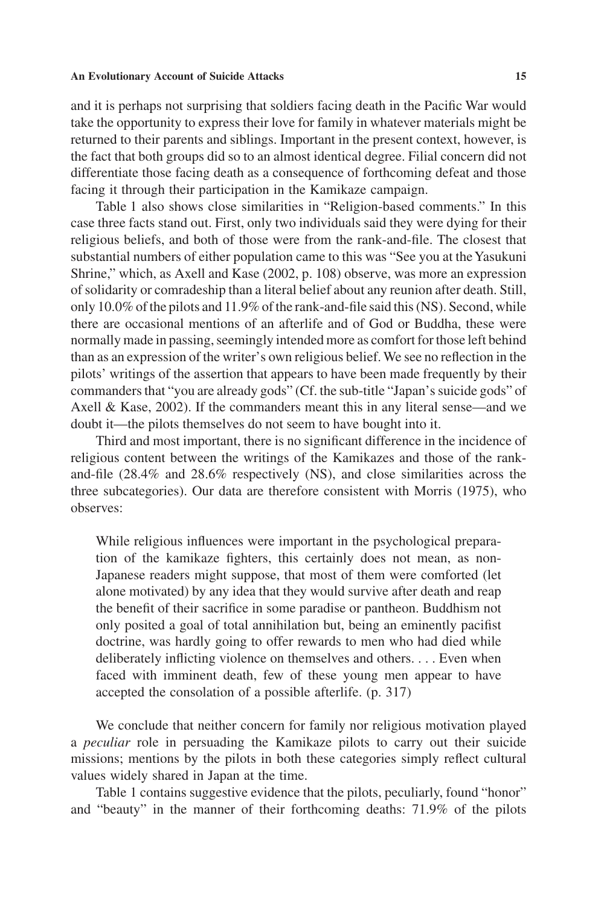and it is perhaps not surprising that soldiers facing death in the Pacific War would take the opportunity to express their love for family in whatever materials might be returned to their parents and siblings. Important in the present context, however, is the fact that both groups did so to an almost identical degree. Filial concern did not differentiate those facing death as a consequence of forthcoming defeat and those facing it through their participation in the Kamikaze campaign.

Table 1 also shows close similarities in "Religion-based comments." In this case three facts stand out. First, only two individuals said they were dying for their religious beliefs, and both of those were from the rank-and-file. The closest that substantial numbers of either population came to this was "See you at theYasukuni Shrine," which, as Axell and Kase (2002, p. 108) observe, was more an expression of solidarity or comradeship than a literal belief about any reunion after death. Still, only 10.0% of the pilots and 11.9% of the rank-and-file said this (NS). Second, while there are occasional mentions of an afterlife and of God or Buddha, these were normally made in passing, seemingly intended more as comfort for those left behind than as an expression of the writer's own religious belief. We see no reflection in the pilots' writings of the assertion that appears to have been made frequently by their commanders that "you are already gods" (Cf. the sub-title "Japan's suicide gods" of Axell & Kase, 2002). If the commanders meant this in any literal sense—and we doubt it—the pilots themselves do not seem to have bought into it.

Third and most important, there is no significant difference in the incidence of religious content between the writings of the Kamikazes and those of the rankand-file (28.4% and 28.6% respectively (NS), and close similarities across the three subcategories). Our data are therefore consistent with Morris (1975), who observes:

While religious influences were important in the psychological preparation of the kamikaze fighters, this certainly does not mean, as non-Japanese readers might suppose, that most of them were comforted (let alone motivated) by any idea that they would survive after death and reap the benefit of their sacrifice in some paradise or pantheon. Buddhism not only posited a goal of total annihilation but, being an eminently pacifist doctrine, was hardly going to offer rewards to men who had died while deliberately inflicting violence on themselves and others. . . . Even when faced with imminent death, few of these young men appear to have accepted the consolation of a possible afterlife. (p. 317)

We conclude that neither concern for family nor religious motivation played a *peculiar* role in persuading the Kamikaze pilots to carry out their suicide missions; mentions by the pilots in both these categories simply reflect cultural values widely shared in Japan at the time.

Table 1 contains suggestive evidence that the pilots, peculiarly, found "honor" and "beauty" in the manner of their forthcoming deaths: 71.9% of the pilots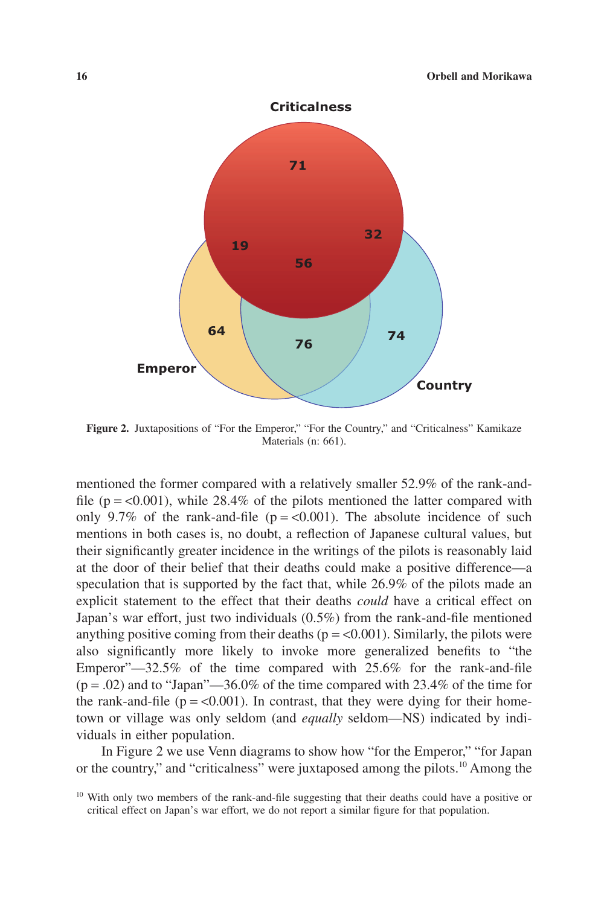

Figure 2. Juxtapositions of "For the Emperor," "For the Country," and "Criticalness" Kamikaze Materials (n: 661).

mentioned the former compared with a relatively smaller 52.9% of the rank-andfile ( $p = 0.001$ ), while 28.4% of the pilots mentioned the latter compared with only 9.7% of the rank-and-file ( $p = < 0.001$ ). The absolute incidence of such mentions in both cases is, no doubt, a reflection of Japanese cultural values, but their significantly greater incidence in the writings of the pilots is reasonably laid at the door of their belief that their deaths could make a positive difference—a speculation that is supported by the fact that, while 26.9% of the pilots made an explicit statement to the effect that their deaths *could* have a critical effect on Japan's war effort, just two individuals (0.5%) from the rank-and-file mentioned anything positive coming from their deaths ( $p = <0.001$ ). Similarly, the pilots were also significantly more likely to invoke more generalized benefits to "the Emperor" $-32.5\%$  of the time compared with 25.6% for the rank-and-file  $(p = .02)$  and to "Japan"—36.0% of the time compared with 23.4% of the time for the rank-and-file ( $p = < 0.001$ ). In contrast, that they were dying for their hometown or village was only seldom (and *equally* seldom—NS) indicated by individuals in either population.

In Figure 2 we use Venn diagrams to show how "for the Emperor," "for Japan or the country," and "criticalness" were juxtaposed among the pilots.<sup>10</sup> Among the

<sup>&</sup>lt;sup>10</sup> With only two members of the rank-and-file suggesting that their deaths could have a positive or critical effect on Japan's war effort, we do not report a similar figure for that population.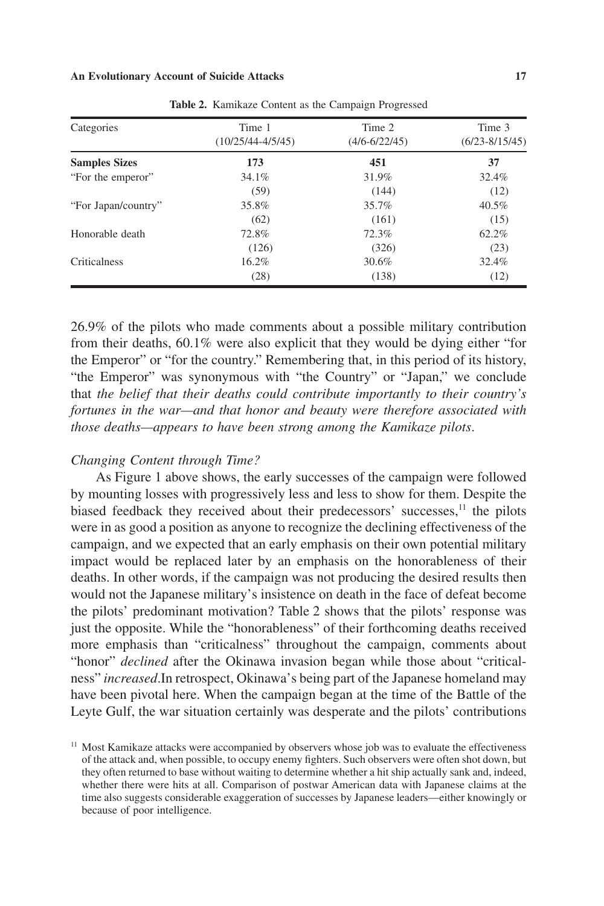| Categories           | Time 1<br>$(10/25/44 - 4/5/45)$ | Time 2<br>$(4/6 - 6/22/45)$ | Time 3<br>$(6/23 - 8/15/45)$ |
|----------------------|---------------------------------|-----------------------------|------------------------------|
| <b>Samples Sizes</b> | 173                             | 451                         | 37                           |
| "For the emperor"    | 34.1%                           | 31.9%                       | 32.4%                        |
|                      | (59)                            | (144)                       | (12)                         |
| "For Japan/country"  | 35.8%                           | 35.7%                       | 40.5%                        |
|                      | (62)                            | (161)                       | (15)                         |
| Honorable death      | 72.8%                           | 72.3%                       | 62.2%                        |
|                      | (126)                           | (326)                       | (23)                         |
| <b>Criticalness</b>  | 16.2%                           | 30.6%                       | 32.4%                        |
|                      | (28)                            | (138)                       | (12)                         |

**Table 2.** Kamikaze Content as the Campaign Progressed

26.9% of the pilots who made comments about a possible military contribution from their deaths, 60.1% were also explicit that they would be dying either "for the Emperor" or "for the country." Remembering that, in this period of its history, "the Emperor" was synonymous with "the Country" or "Japan," we conclude that *the belief that their deaths could contribute importantly to their country's fortunes in the war—and that honor and beauty were therefore associated with those deaths—appears to have been strong among the Kamikaze pilots*.

# *Changing Content through Time?*

As Figure 1 above shows, the early successes of the campaign were followed by mounting losses with progressively less and less to show for them. Despite the biased feedback they received about their predecessors' successes,<sup>11</sup> the pilots were in as good a position as anyone to recognize the declining effectiveness of the campaign, and we expected that an early emphasis on their own potential military impact would be replaced later by an emphasis on the honorableness of their deaths. In other words, if the campaign was not producing the desired results then would not the Japanese military's insistence on death in the face of defeat become the pilots' predominant motivation? Table 2 shows that the pilots' response was just the opposite. While the "honorableness" of their forthcoming deaths received more emphasis than "criticalness" throughout the campaign, comments about "honor" *declined* after the Okinawa invasion began while those about "criticalness" *increased*.In retrospect, Okinawa's being part of the Japanese homeland may have been pivotal here. When the campaign began at the time of the Battle of the Leyte Gulf, the war situation certainly was desperate and the pilots' contributions

<sup>&</sup>lt;sup>11</sup> Most Kamikaze attacks were accompanied by observers whose job was to evaluate the effectiveness of the attack and, when possible, to occupy enemy fighters. Such observers were often shot down, but they often returned to base without waiting to determine whether a hit ship actually sank and, indeed, whether there were hits at all. Comparison of postwar American data with Japanese claims at the time also suggests considerable exaggeration of successes by Japanese leaders—either knowingly or because of poor intelligence.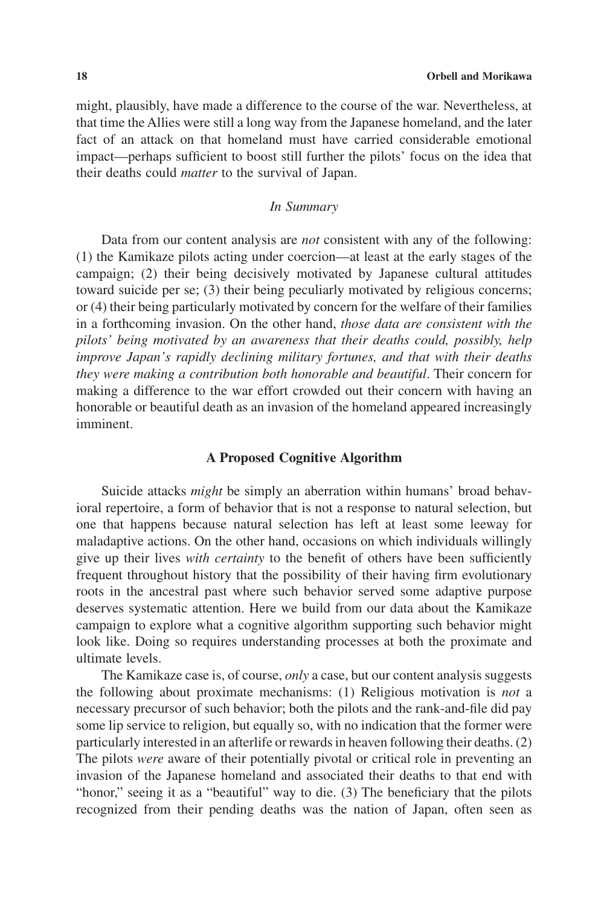might, plausibly, have made a difference to the course of the war. Nevertheless, at that time the Allies were still a long way from the Japanese homeland, and the later fact of an attack on that homeland must have carried considerable emotional impact—perhaps sufficient to boost still further the pilots' focus on the idea that their deaths could *matter* to the survival of Japan.

## *In Summary*

Data from our content analysis are *not* consistent with any of the following: (1) the Kamikaze pilots acting under coercion—at least at the early stages of the campaign; (2) their being decisively motivated by Japanese cultural attitudes toward suicide per se; (3) their being peculiarly motivated by religious concerns; or (4) their being particularly motivated by concern for the welfare of their families in a forthcoming invasion. On the other hand, *those data are consistent with the pilots' being motivated by an awareness that their deaths could, possibly, help improve Japan's rapidly declining military fortunes, and that with their deaths they were making a contribution both honorable and beautiful*. Their concern for making a difference to the war effort crowded out their concern with having an honorable or beautiful death as an invasion of the homeland appeared increasingly imminent.

# **A Proposed Cognitive Algorithm**

Suicide attacks *might* be simply an aberration within humans' broad behavioral repertoire, a form of behavior that is not a response to natural selection, but one that happens because natural selection has left at least some leeway for maladaptive actions. On the other hand, occasions on which individuals willingly give up their lives *with certainty* to the benefit of others have been sufficiently frequent throughout history that the possibility of their having firm evolutionary roots in the ancestral past where such behavior served some adaptive purpose deserves systematic attention. Here we build from our data about the Kamikaze campaign to explore what a cognitive algorithm supporting such behavior might look like. Doing so requires understanding processes at both the proximate and ultimate levels.

The Kamikaze case is, of course, *only* a case, but our content analysis suggests the following about proximate mechanisms: (1) Religious motivation is *not* a necessary precursor of such behavior; both the pilots and the rank-and-file did pay some lip service to religion, but equally so, with no indication that the former were particularly interested in an afterlife or rewards in heaven following their deaths. (2) The pilots *were* aware of their potentially pivotal or critical role in preventing an invasion of the Japanese homeland and associated their deaths to that end with "honor," seeing it as a "beautiful" way to die. (3) The beneficiary that the pilots recognized from their pending deaths was the nation of Japan, often seen as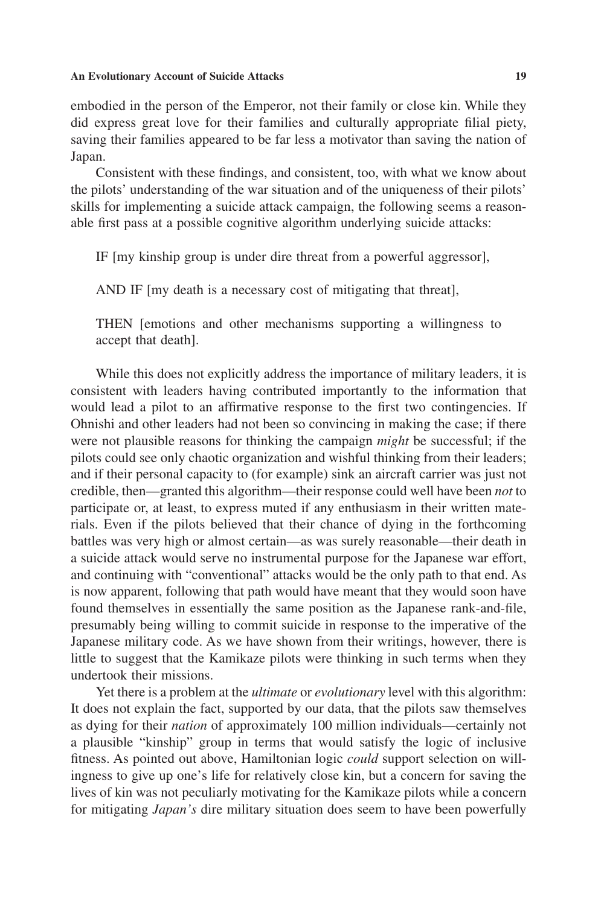embodied in the person of the Emperor, not their family or close kin. While they did express great love for their families and culturally appropriate filial piety, saving their families appeared to be far less a motivator than saving the nation of Japan.

Consistent with these findings, and consistent, too, with what we know about the pilots' understanding of the war situation and of the uniqueness of their pilots' skills for implementing a suicide attack campaign, the following seems a reasonable first pass at a possible cognitive algorithm underlying suicide attacks:

IF [my kinship group is under dire threat from a powerful aggressor],

AND IF [my death is a necessary cost of mitigating that threat],

THEN [emotions and other mechanisms supporting a willingness to accept that death].

While this does not explicitly address the importance of military leaders, it is consistent with leaders having contributed importantly to the information that would lead a pilot to an affirmative response to the first two contingencies. If Ohnishi and other leaders had not been so convincing in making the case; if there were not plausible reasons for thinking the campaign *might* be successful; if the pilots could see only chaotic organization and wishful thinking from their leaders; and if their personal capacity to (for example) sink an aircraft carrier was just not credible, then—granted this algorithm—their response could well have been *not* to participate or, at least, to express muted if any enthusiasm in their written materials. Even if the pilots believed that their chance of dying in the forthcoming battles was very high or almost certain—as was surely reasonable—their death in a suicide attack would serve no instrumental purpose for the Japanese war effort, and continuing with "conventional" attacks would be the only path to that end. As is now apparent, following that path would have meant that they would soon have found themselves in essentially the same position as the Japanese rank-and-file, presumably being willing to commit suicide in response to the imperative of the Japanese military code. As we have shown from their writings, however, there is little to suggest that the Kamikaze pilots were thinking in such terms when they undertook their missions.

Yet there is a problem at the *ultimate* or *evolutionary* level with this algorithm: It does not explain the fact, supported by our data, that the pilots saw themselves as dying for their *nation* of approximately 100 million individuals—certainly not a plausible "kinship" group in terms that would satisfy the logic of inclusive fitness. As pointed out above, Hamiltonian logic *could* support selection on willingness to give up one's life for relatively close kin, but a concern for saving the lives of kin was not peculiarly motivating for the Kamikaze pilots while a concern for mitigating *Japan's* dire military situation does seem to have been powerfully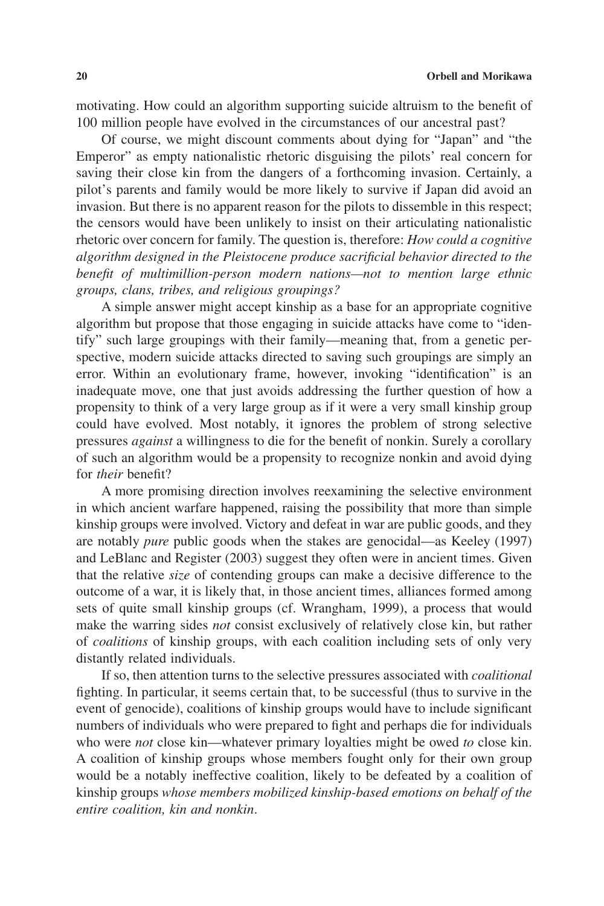motivating. How could an algorithm supporting suicide altruism to the benefit of 100 million people have evolved in the circumstances of our ancestral past?

Of course, we might discount comments about dying for "Japan" and "the Emperor" as empty nationalistic rhetoric disguising the pilots' real concern for saving their close kin from the dangers of a forthcoming invasion. Certainly, a pilot's parents and family would be more likely to survive if Japan did avoid an invasion. But there is no apparent reason for the pilots to dissemble in this respect; the censors would have been unlikely to insist on their articulating nationalistic rhetoric over concern for family. The question is, therefore: *How could a cognitive algorithm designed in the Pleistocene produce sacrificial behavior directed to the benefit of multimillion-person modern nations—not to mention large ethnic groups, clans, tribes, and religious groupings?*

A simple answer might accept kinship as a base for an appropriate cognitive algorithm but propose that those engaging in suicide attacks have come to "identify" such large groupings with their family—meaning that, from a genetic perspective, modern suicide attacks directed to saving such groupings are simply an error. Within an evolutionary frame, however, invoking "identification" is an inadequate move, one that just avoids addressing the further question of how a propensity to think of a very large group as if it were a very small kinship group could have evolved. Most notably, it ignores the problem of strong selective pressures *against* a willingness to die for the benefit of nonkin. Surely a corollary of such an algorithm would be a propensity to recognize nonkin and avoid dying for *their* benefit?

A more promising direction involves reexamining the selective environment in which ancient warfare happened, raising the possibility that more than simple kinship groups were involved. Victory and defeat in war are public goods, and they are notably *pure* public goods when the stakes are genocidal—as Keeley (1997) and LeBlanc and Register (2003) suggest they often were in ancient times. Given that the relative *size* of contending groups can make a decisive difference to the outcome of a war, it is likely that, in those ancient times, alliances formed among sets of quite small kinship groups (cf. Wrangham, 1999), a process that would make the warring sides *not* consist exclusively of relatively close kin, but rather of *coalitions* of kinship groups, with each coalition including sets of only very distantly related individuals.

If so, then attention turns to the selective pressures associated with *coalitional* fighting. In particular, it seems certain that, to be successful (thus to survive in the event of genocide), coalitions of kinship groups would have to include significant numbers of individuals who were prepared to fight and perhaps die for individuals who were *not* close kin—whatever primary loyalties might be owed *to* close kin. A coalition of kinship groups whose members fought only for their own group would be a notably ineffective coalition, likely to be defeated by a coalition of kinship groups *whose members mobilized kinship-based emotions on behalf of the entire coalition, kin and nonkin*.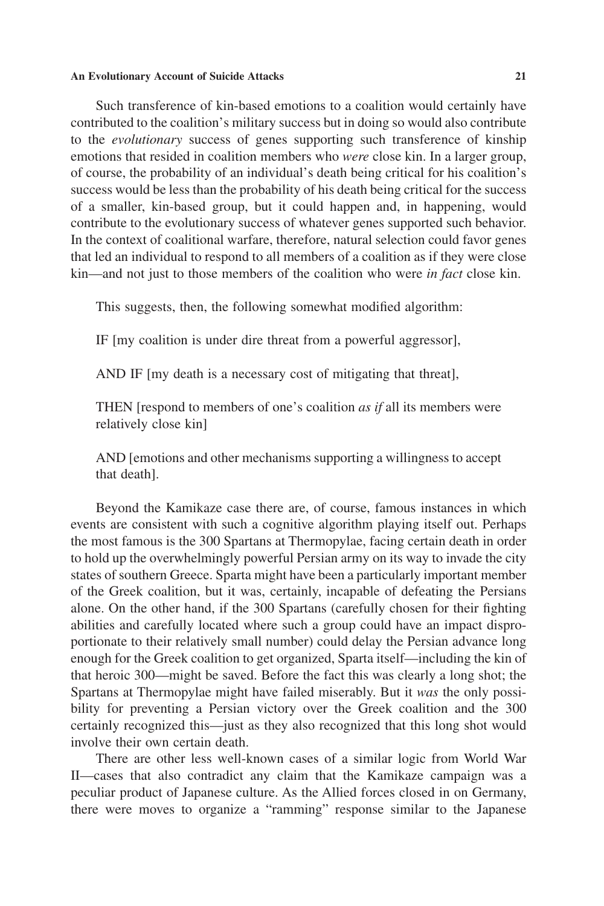Such transference of kin-based emotions to a coalition would certainly have contributed to the coalition's military success but in doing so would also contribute to the *evolutionary* success of genes supporting such transference of kinship emotions that resided in coalition members who *were* close kin. In a larger group, of course, the probability of an individual's death being critical for his coalition's success would be less than the probability of his death being critical for the success of a smaller, kin-based group, but it could happen and, in happening, would contribute to the evolutionary success of whatever genes supported such behavior. In the context of coalitional warfare, therefore, natural selection could favor genes that led an individual to respond to all members of a coalition as if they were close kin—and not just to those members of the coalition who were *in fact* close kin.

This suggests, then, the following somewhat modified algorithm:

IF [my coalition is under dire threat from a powerful aggressor],

AND IF [my death is a necessary cost of mitigating that threat],

THEN [respond to members of one's coalition *as if* all its members were relatively close kin]

AND [emotions and other mechanisms supporting a willingness to accept that death].

Beyond the Kamikaze case there are, of course, famous instances in which events are consistent with such a cognitive algorithm playing itself out. Perhaps the most famous is the 300 Spartans at Thermopylae, facing certain death in order to hold up the overwhelmingly powerful Persian army on its way to invade the city states of southern Greece. Sparta might have been a particularly important member of the Greek coalition, but it was, certainly, incapable of defeating the Persians alone. On the other hand, if the 300 Spartans (carefully chosen for their fighting abilities and carefully located where such a group could have an impact disproportionate to their relatively small number) could delay the Persian advance long enough for the Greek coalition to get organized, Sparta itself—including the kin of that heroic 300—might be saved. Before the fact this was clearly a long shot; the Spartans at Thermopylae might have failed miserably. But it *was* the only possibility for preventing a Persian victory over the Greek coalition and the 300 certainly recognized this—just as they also recognized that this long shot would involve their own certain death.

There are other less well-known cases of a similar logic from World War II—cases that also contradict any claim that the Kamikaze campaign was a peculiar product of Japanese culture. As the Allied forces closed in on Germany, there were moves to organize a "ramming" response similar to the Japanese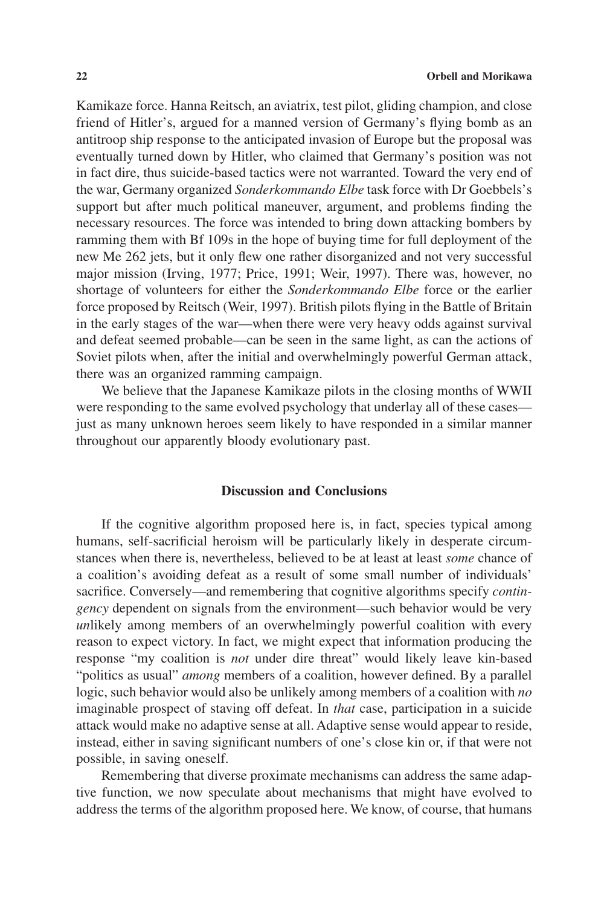Kamikaze force. Hanna Reitsch, an aviatrix, test pilot, gliding champion, and close friend of Hitler's, argued for a manned version of Germany's flying bomb as an antitroop ship response to the anticipated invasion of Europe but the proposal was eventually turned down by Hitler, who claimed that Germany's position was not in fact dire, thus suicide-based tactics were not warranted. Toward the very end of the war, Germany organized *Sonderkommando Elbe* task force with Dr Goebbels's support but after much political maneuver, argument, and problems finding the necessary resources. The force was intended to bring down attacking bombers by ramming them with Bf 109s in the hope of buying time for full deployment of the new Me 262 jets, but it only flew one rather disorganized and not very successful major mission (Irving, 1977; Price, 1991; Weir, 1997). There was, however, no shortage of volunteers for either the *Sonderkommando Elbe* force or the earlier force proposed by Reitsch (Weir, 1997). British pilots flying in the Battle of Britain in the early stages of the war—when there were very heavy odds against survival and defeat seemed probable—can be seen in the same light, as can the actions of Soviet pilots when, after the initial and overwhelmingly powerful German attack, there was an organized ramming campaign.

We believe that the Japanese Kamikaze pilots in the closing months of WWII were responding to the same evolved psychology that underlay all of these cases just as many unknown heroes seem likely to have responded in a similar manner throughout our apparently bloody evolutionary past.

## **Discussion and Conclusions**

If the cognitive algorithm proposed here is, in fact, species typical among humans, self-sacrificial heroism will be particularly likely in desperate circumstances when there is, nevertheless, believed to be at least at least *some* chance of a coalition's avoiding defeat as a result of some small number of individuals' sacrifice. Conversely—and remembering that cognitive algorithms specify *contingency* dependent on signals from the environment—such behavior would be very *un*likely among members of an overwhelmingly powerful coalition with every reason to expect victory. In fact, we might expect that information producing the response "my coalition is *not* under dire threat" would likely leave kin-based "politics as usual" *among* members of a coalition, however defined. By a parallel logic, such behavior would also be unlikely among members of a coalition with *no* imaginable prospect of staving off defeat. In *that* case, participation in a suicide attack would make no adaptive sense at all. Adaptive sense would appear to reside, instead, either in saving significant numbers of one's close kin or, if that were not possible, in saving oneself.

Remembering that diverse proximate mechanisms can address the same adaptive function, we now speculate about mechanisms that might have evolved to address the terms of the algorithm proposed here. We know, of course, that humans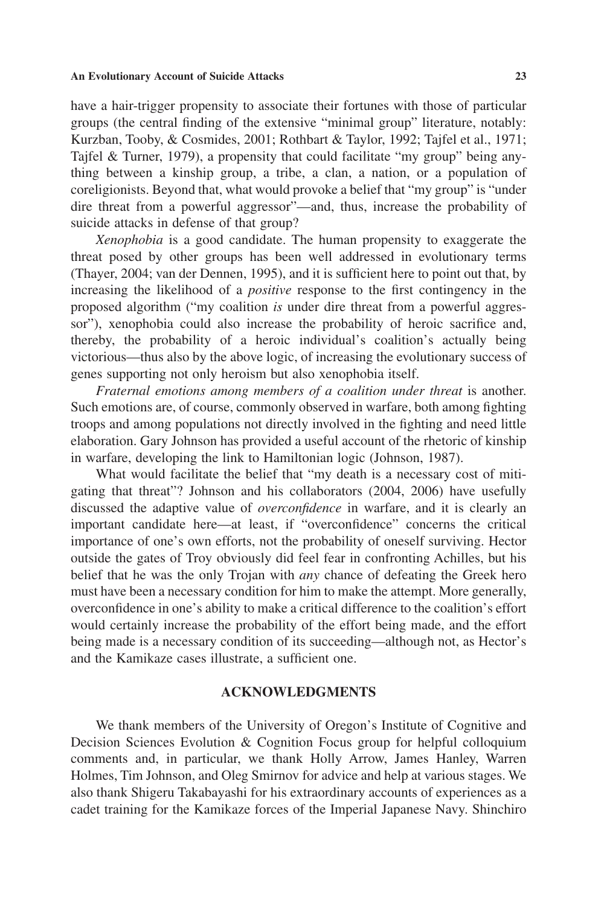have a hair-trigger propensity to associate their fortunes with those of particular groups (the central finding of the extensive "minimal group" literature, notably: Kurzban, Tooby, & Cosmides, 2001; Rothbart & Taylor, 1992; Tajfel et al., 1971; Tajfel & Turner, 1979), a propensity that could facilitate "my group" being anything between a kinship group, a tribe, a clan, a nation, or a population of coreligionists. Beyond that, what would provoke a belief that "my group" is "under dire threat from a powerful aggressor"—and, thus, increase the probability of suicide attacks in defense of that group?

*Xenophobia* is a good candidate. The human propensity to exaggerate the threat posed by other groups has been well addressed in evolutionary terms (Thayer, 2004; van der Dennen, 1995), and it is sufficient here to point out that, by increasing the likelihood of a *positive* response to the first contingency in the proposed algorithm ("my coalition *is* under dire threat from a powerful aggressor"), xenophobia could also increase the probability of heroic sacrifice and, thereby, the probability of a heroic individual's coalition's actually being victorious—thus also by the above logic, of increasing the evolutionary success of genes supporting not only heroism but also xenophobia itself.

*Fraternal emotions among members of a coalition under threat* is another. Such emotions are, of course, commonly observed in warfare, both among fighting troops and among populations not directly involved in the fighting and need little elaboration. Gary Johnson has provided a useful account of the rhetoric of kinship in warfare, developing the link to Hamiltonian logic (Johnson, 1987).

What would facilitate the belief that "my death is a necessary cost of mitigating that threat"? Johnson and his collaborators (2004, 2006) have usefully discussed the adaptive value of *overconfidence* in warfare, and it is clearly an important candidate here—at least, if "overconfidence" concerns the critical importance of one's own efforts, not the probability of oneself surviving. Hector outside the gates of Troy obviously did feel fear in confronting Achilles, but his belief that he was the only Trojan with *any* chance of defeating the Greek hero must have been a necessary condition for him to make the attempt. More generally, overconfidence in one's ability to make a critical difference to the coalition's effort would certainly increase the probability of the effort being made, and the effort being made is a necessary condition of its succeeding—although not, as Hector's and the Kamikaze cases illustrate, a sufficient one.

#### **ACKNOWLEDGMENTS**

We thank members of the University of Oregon's Institute of Cognitive and Decision Sciences Evolution & Cognition Focus group for helpful colloquium comments and, in particular, we thank Holly Arrow, James Hanley, Warren Holmes, Tim Johnson, and Oleg Smirnov for advice and help at various stages. We also thank Shigeru Takabayashi for his extraordinary accounts of experiences as a cadet training for the Kamikaze forces of the Imperial Japanese Navy. Shinchiro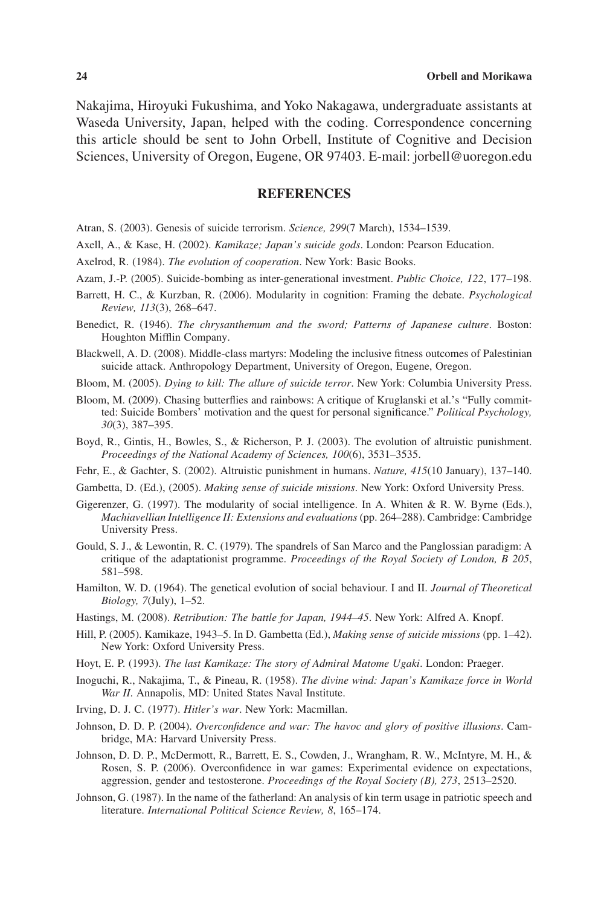Nakajima, Hiroyuki Fukushima, and Yoko Nakagawa, undergraduate assistants at Waseda University, Japan, helped with the coding. Correspondence concerning this article should be sent to John Orbell, Institute of Cognitive and Decision Sciences, University of Oregon, Eugene, OR 97403. E-mail: jorbell@uoregon.edu

#### **REFERENCES**

- Atran, S. (2003). Genesis of suicide terrorism. *Science, 299*(7 March), 1534–1539.
- Axell, A., & Kase, H. (2002). *Kamikaze; Japan's suicide gods*. London: Pearson Education.
- Axelrod, R. (1984). *The evolution of cooperation*. New York: Basic Books.
- Azam, J.-P. (2005). Suicide-bombing as inter-generational investment. *Public Choice, 122*, 177–198.
- Barrett, H. C., & Kurzban, R. (2006). Modularity in cognition: Framing the debate. *Psychological Review, 113*(3), 268–647.
- Benedict, R. (1946). *The chrysanthemum and the sword; Patterns of Japanese culture*. Boston: Houghton Mifflin Company.
- Blackwell, A. D. (2008). Middle-class martyrs: Modeling the inclusive fitness outcomes of Palestinian suicide attack. Anthropology Department, University of Oregon, Eugene, Oregon.
- Bloom, M. (2005). *Dying to kill: The allure of suicide terror*. New York: Columbia University Press.
- Bloom, M. (2009). Chasing butterflies and rainbows: A critique of Kruglanski et al.'s "Fully committed: Suicide Bombers' motivation and the quest for personal significance." *Political Psychology, 30*(3), 387–395.
- Boyd, R., Gintis, H., Bowles, S., & Richerson, P. J. (2003). The evolution of altruistic punishment. *Proceedings of the National Academy of Sciences, 100*(6), 3531–3535.
- Fehr, E., & Gachter, S. (2002). Altruistic punishment in humans. *Nature, 415*(10 January), 137–140.
- Gambetta, D. (Ed.), (2005). *Making sense of suicide missions*. New York: Oxford University Press.
- Gigerenzer, G. (1997). The modularity of social intelligence. In A. Whiten & R. W. Byrne (Eds.), *Machiavellian Intelligence II: Extensions and evaluations* (pp. 264–288). Cambridge: Cambridge University Press.
- Gould, S. J., & Lewontin, R. C. (1979). The spandrels of San Marco and the Panglossian paradigm: A critique of the adaptationist programme. *Proceedings of the Royal Society of London, B 205*, 581–598.
- Hamilton, W. D. (1964). The genetical evolution of social behaviour. I and II. *Journal of Theoretical Biology, 7*(July), 1–52.
- Hastings, M. (2008). *Retribution: The battle for Japan, 1944–45*. New York: Alfred A. Knopf.
- Hill, P. (2005). Kamikaze, 1943–5. In D. Gambetta (Ed.), *Making sense of suicide missions* (pp. 1–42). New York: Oxford University Press.
- Hoyt, E. P. (1993). *The last Kamikaze: The story of Admiral Matome Ugaki*. London: Praeger.
- Inoguchi, R., Nakajima, T., & Pineau, R. (1958). *The divine wind: Japan's Kamikaze force in World War II*. Annapolis, MD: United States Naval Institute.
- Irving, D. J. C. (1977). *Hitler's war*. New York: Macmillan.
- Johnson, D. D. P. (2004). *Overconfidence and war: The havoc and glory of positive illusions*. Cambridge, MA: Harvard University Press.
- Johnson, D. D. P., McDermott, R., Barrett, E. S., Cowden, J., Wrangham, R. W., McIntyre, M. H., & Rosen, S. P. (2006). Overconfidence in war games: Experimental evidence on expectations, aggression, gender and testosterone. *Proceedings of the Royal Society (B), 273*, 2513–2520.
- Johnson, G. (1987). In the name of the fatherland: An analysis of kin term usage in patriotic speech and literature. *International Political Science Review, 8*, 165–174.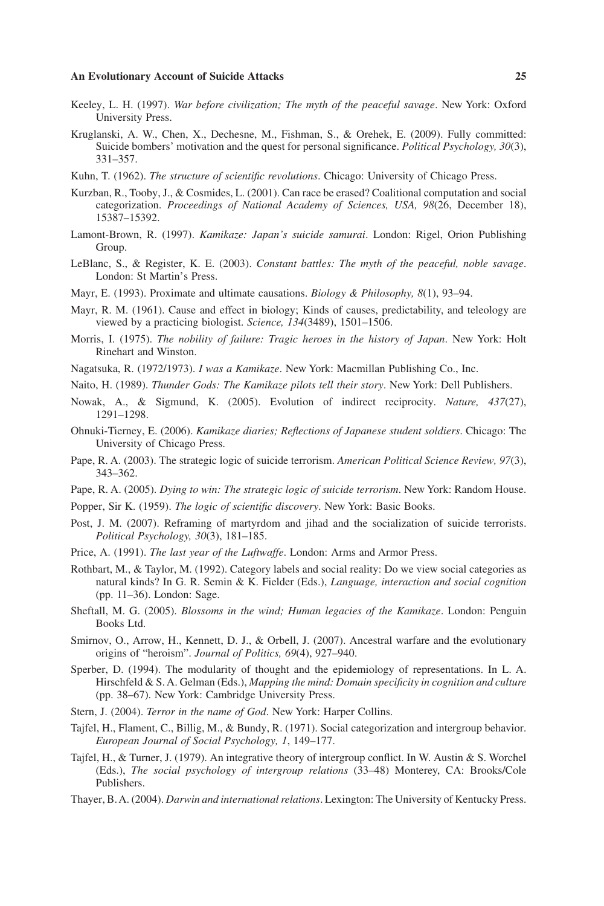- Keeley, L. H. (1997). *War before civilization; The myth of the peaceful savage*. New York: Oxford University Press.
- Kruglanski, A. W., Chen, X., Dechesne, M., Fishman, S., & Orehek, E. (2009). Fully committed: Suicide bombers' motivation and the quest for personal significance. *Political Psychology, 30*(3), 331–357.
- Kuhn, T. (1962). *The structure of scientific revolutions*. Chicago: University of Chicago Press.
- Kurzban, R., Tooby, J., & Cosmides, L. (2001). Can race be erased? Coalitional computation and social categorization. *Proceedings of National Academy of Sciences, USA, 98*(26, December 18), 15387–15392.
- Lamont-Brown, R. (1997). *Kamikaze: Japan's suicide samurai*. London: Rigel, Orion Publishing Group.
- LeBlanc, S., & Register, K. E. (2003). *Constant battles: The myth of the peaceful, noble savage*. London: St Martin's Press.
- Mayr, E. (1993). Proximate and ultimate causations. *Biology & Philosophy, 8*(1), 93–94.
- Mayr, R. M. (1961). Cause and effect in biology; Kinds of causes, predictability, and teleology are viewed by a practicing biologist. *Science, 134*(3489), 1501–1506.
- Morris, I. (1975). *The nobility of failure: Tragic heroes in the history of Japan*. New York: Holt Rinehart and Winston.
- Nagatsuka, R. (1972/1973). *I was a Kamikaze*. New York: Macmillan Publishing Co., Inc.
- Naito, H. (1989). *Thunder Gods: The Kamikaze pilots tell their story*. New York: Dell Publishers.
- Nowak, A., & Sigmund, K. (2005). Evolution of indirect reciprocity. *Nature, 437*(27), 1291–1298.
- Ohnuki-Tierney, E. (2006). *Kamikaze diaries; Reflections of Japanese student soldiers*. Chicago: The University of Chicago Press.
- Pape, R. A. (2003). The strategic logic of suicide terrorism. *American Political Science Review, 97*(3), 343–362.
- Pape, R. A. (2005). *Dying to win: The strategic logic of suicide terrorism*. New York: Random House.
- Popper, Sir K. (1959). *The logic of scientific discovery*. New York: Basic Books.
- Post, J. M. (2007). Reframing of martyrdom and jihad and the socialization of suicide terrorists. *Political Psychology, 30*(3), 181–185.
- Price, A. (1991). *The last year of the Luftwaffe*. London: Arms and Armor Press.
- Rothbart, M., & Taylor, M. (1992). Category labels and social reality: Do we view social categories as natural kinds? In G. R. Semin & K. Fielder (Eds.), *Language, interaction and social cognition* (pp. 11–36). London: Sage.
- Sheftall, M. G. (2005). *Blossoms in the wind; Human legacies of the Kamikaze*. London: Penguin Books Ltd.
- Smirnov, O., Arrow, H., Kennett, D. J., & Orbell, J. (2007). Ancestral warfare and the evolutionary origins of "heroism". *Journal of Politics, 69*(4), 927–940.
- Sperber, D. (1994). The modularity of thought and the epidemiology of representations. In L. A. Hirschfeld & S. A. Gelman (Eds.), *Mapping the mind: Domain specificity in cognition and culture* (pp. 38–67). New York: Cambridge University Press.
- Stern, J. (2004). *Terror in the name of God*. New York: Harper Collins.
- Tajfel, H., Flament, C., Billig, M., & Bundy, R. (1971). Social categorization and intergroup behavior. *European Journal of Social Psychology, 1*, 149–177.
- Tajfel, H., & Turner, J. (1979). An integrative theory of intergroup conflict. In W. Austin & S. Worchel (Eds.), *The social psychology of intergroup relations* (33–48) Monterey, CA: Brooks/Cole Publishers.
- Thayer, B.A. (2004). *Darwin and international relations*. Lexington: The University of Kentucky Press.